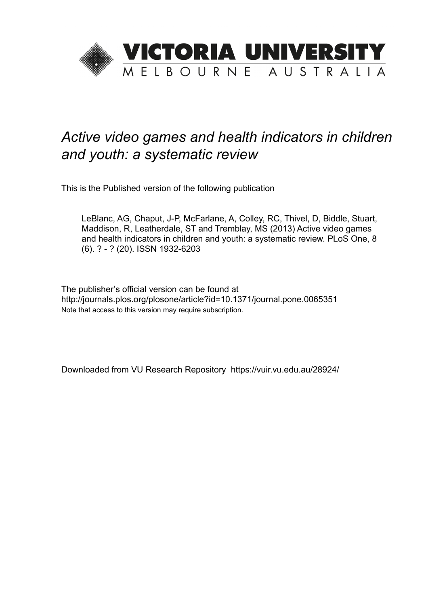

# *Active video games and health indicators in children and youth: a systematic review*

This is the Published version of the following publication

LeBlanc, AG, Chaput, J-P, McFarlane, A, Colley, RC, Thivel, D, Biddle, Stuart, Maddison, R, Leatherdale, ST and Tremblay, MS (2013) Active video games and health indicators in children and youth: a systematic review. PLoS One, 8 (6). ? - ? (20). ISSN 1932-6203

The publisher's official version can be found at http://journals.plos.org/plosone/article?id=10.1371/journal.pone.0065351 Note that access to this version may require subscription.

Downloaded from VU Research Repository https://vuir.vu.edu.au/28924/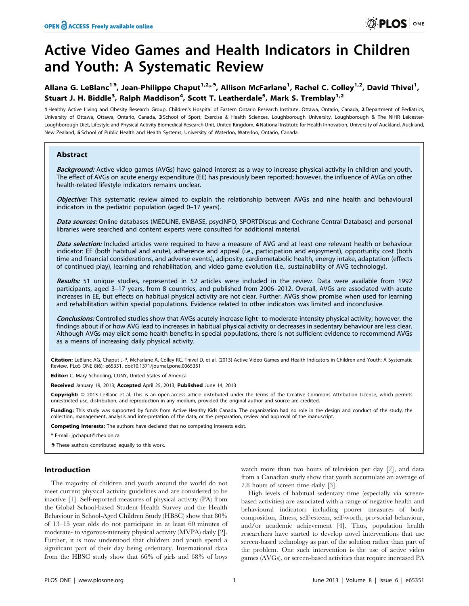# Active Video Games and Health Indicators in Children and Youth: A Systematic Review

# Allana G. LeBlanc<sup>19</sup>, Jean-Philippe Chaput<sup>1,2</sup>\*<sup>9</sup>, Allison McFarlane<sup>1</sup>, Rachel C. Colley<sup>1,2</sup>, David Thivel<sup>1</sup>, Stuart J. H. Biddle<sup>3</sup>, Ralph Maddison<sup>4</sup>, Scott T. Leatherdale<sup>5</sup>, Mark S. Tremblay<sup>1,2</sup>

1 Healthy Active Living and Obesity Research Group, Children's Hospital of Eastern Ontario Research Institute, Ottawa, Ontario, Canada, 2 Department of Pediatrics, University of Ottawa, Ottawa, Ontario, Canada, 3 School of Sport, Exercise & Health Sciences, Loughborough University, Loughborough & The NIHR Leicester-Loughborough Diet, Lifestyle and Physical Activity Biomedical Research Unit, United Kingdom, 4 National Institute for Health Innovation, University of Auckland, Auckland, New Zealand, 5 School of Public Health and Health Systems, University of Waterloo, Waterloo, Ontario, Canada

# Abstract

Background: Active video games (AVGs) have gained interest as a way to increase physical activity in children and youth. The effect of AVGs on acute energy expenditure (EE) has previously been reported; however, the influence of AVGs on other health-related lifestyle indicators remains unclear.

Objective: This systematic review aimed to explain the relationship between AVGs and nine health and behavioural indicators in the pediatric population (aged 0–17 years).

Data sources: Online databases (MEDLINE, EMBASE, psycINFO, SPORTDiscus and Cochrane Central Database) and personal libraries were searched and content experts were consulted for additional material.

**Data selection:** Included articles were required to have a measure of AVG and at least one relevant health or behaviour indicator: EE (both habitual and acute), adherence and appeal (i.e., participation and enjoyment), opportunity cost (both time and financial considerations, and adverse events), adiposity, cardiometabolic health, energy intake, adaptation (effects of continued play), learning and rehabilitation, and video game evolution (i.e., sustainability of AVG technology).

Results: 51 unique studies, represented in 52 articles were included in the review. Data were available from 1992 participants, aged 3–17 years, from 8 countries, and published from 2006–2012. Overall, AVGs are associated with acute increases in EE, but effects on habitual physical activity are not clear. Further, AVGs show promise when used for learning and rehabilitation within special populations. Evidence related to other indicators was limited and inconclusive.

Conclusions: Controlled studies show that AVGs acutely increase light- to moderate-intensity physical activity; however, the findings about if or how AVG lead to increases in habitual physical activity or decreases in sedentary behaviour are less clear. Although AVGs may elicit some health benefits in special populations, there is not sufficient evidence to recommend AVGs as a means of increasing daily physical activity.

Citation: LeBlanc AG, Chaput J-P, McFarlane A, Colley RC, Thivel D, et al. (2013) Active Video Games and Health Indicators in Children and Youth: A Systematic Review. PLoS ONE 8(6): e65351. doi:10.1371/journal.pone.0065351

Editor: C. Mary Schooling, CUNY, United States of America

Received January 19, 2013; Accepted April 25, 2013; Published June 14, 2013

**Copyright:** © 2013 LeBlanc et al. This is an open-access article distributed under the terms of the Creative Commons Attribution License, which permits unrestricted use, distribution, and reproduction in any medium, provided the original author and source are credited.

Funding: This study was supported by funds from Active Healthy Kids Canada. The organization had no role in the design and conduct of the study; the collection, management, analysis and interpretation of the data; or the preparation, review and approval of the manuscript.

Competing Interests: The authors have declared that no competing interests exist.

\* E-mail: jpchaput@cheo.on.ca

. These authors contributed equally to this work.

# Introduction

The majority of children and youth around the world do not meet current physical activity guidelines and are considered to be inactive [1]. Self-reported measures of physical activity (PA) from the Global School-based Student Health Survey and the Health Behaviour in School-Aged Children Study (HBSC) show that 80% of 13–15 year olds do not participate in at least 60 minutes of moderate- to vigorous-intensity physical activity (MVPA) daily [2]. Further, it is now understood that children and youth spend a significant part of their day being sedentary. International data from the HBSC study show that 66% of girls and 68% of boys

watch more than two hours of television per day [2], and data from a Canadian study show that youth accumulate an average of 7.8 hours of screen time daily [3].

High levels of habitual sedentary time (especially via screenbased activities) are associated with a range of negative health and behavioural indicators including poorer measures of body composition, fitness, self-esteem, self-worth, pro-social behaviour, and/or academic achievement [4]. Thus, population health researchers have started to develop novel interventions that use screen-based technology as part of the solution rather than part of the problem. One such intervention is the use of active video games (AVGs), or screen-based activities that require increased PA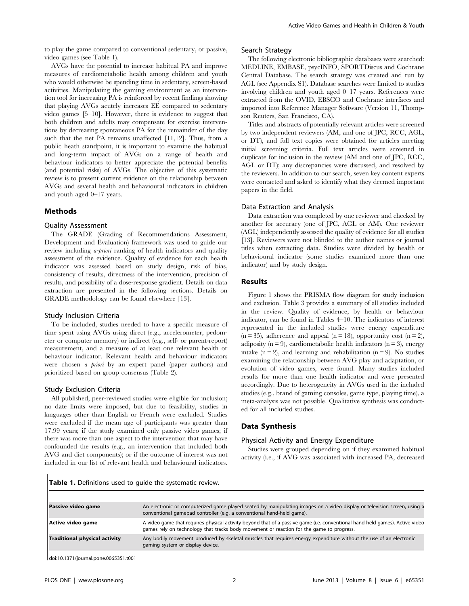to play the game compared to conventional sedentary, or passive, video games (see Table 1).

AVGs have the potential to increase habitual PA and improve measures of cardiometabolic health among children and youth who would otherwise be spending time in sedentary, screen-based activities. Manipulating the gaming environment as an intervention tool for increasing PA is reinforced by recent findings showing that playing AVGs acutely increases EE compared to sedentary video games [5–10]. However, there is evidence to suggest that both children and adults may compensate for exercise interventions by decreasing spontaneous PA for the remainder of the day such that the net PA remains unaffected [11,12]. Thus, from a public heath standpoint, it is important to examine the habitual and long-term impact of AVGs on a range of health and behaviour indicators to better appreciate the potential benefits (and potential risks) of AVGs. The objective of this systematic review is to present current evidence on the relationship between AVGs and several health and behavioural indicators in children and youth aged 0–17 years.

#### Methods

#### Quality Assessment

The GRADE (Grading of Recommendations Assessment, Development and Evaluation) framework was used to guide our review including *a-priori* ranking of health indicators and quality assessment of the evidence. Quality of evidence for each health indicator was assessed based on study design, risk of bias, consistency of results, directness of the intervention, precision of results, and possibility of a dose-response gradient. Details on data extraction are presented in the following sections. Details on GRADE methodology can be found elsewhere [13].

#### Study Inclusion Criteria

To be included, studies needed to have a specific measure of time spent using AVGs using direct (e.g., accelerometer, pedometer or computer memory) or indirect (e.g., self- or parent-report) measurement, and a measure of at least one relevant health or behaviour indicator. Relevant health and behaviour indicators were chosen a priori by an expert panel (paper authors) and prioritized based on group consensus (Table 2).

#### Study Exclusion Criteria

All published, peer-reviewed studies were eligible for inclusion; no date limits were imposed, but due to feasibility, studies in languages other than English or French were excluded. Studies were excluded if the mean age of participants was greater than 17.99 years; if the study examined only passive video games; if there was more than one aspect to the intervention that may have confounded the results (e.g., an intervention that included both AVG and diet components); or if the outcome of interest was not included in our list of relevant health and behavioural indicators.

#### Search Strategy

The following electronic bibliographic databases were searched: MEDLINE, EMBASE, psycINFO, SPORTDiscus and Cochrane Central Database. The search strategy was created and run by AGL (see Appendix S1). Database searches were limited to studies involving children and youth aged 0–17 years. References were extracted from the OVID, EBSCO and Cochrane interfaces and imported into Reference Manager Software (Version 11, Thompson Reuters, San Francisco, CA).

Titles and abstracts of potentially relevant articles were screened by two independent reviewers (AM, and one of JPC, RCC, AGL, or DT), and full text copies were obtained for articles meeting initial screening criteria. Full text articles were screened in duplicate for inclusion in the review (AM and one of JPC, RCC, AGL or DT); any discrepancies were discussed, and resolved by the reviewers. In addition to our search, seven key content experts were contacted and asked to identify what they deemed important papers in the field.

### Data Extraction and Analysis

Data extraction was completed by one reviewer and checked by another for accuracy (one of JPC, AGL or AM). One reviewer (AGL) independently assessed the quality of evidence for all studies [13]. Reviewers were not blinded to the author names or journal titles when extracting data. Studies were divided by health or behavioural indicator (some studies examined more than one indicator) and by study design.

### Results

Figure 1 shows the PRISMA flow diagram for study inclusion and exclusion. Table 3 provides a summary of all studies included in the review. Quality of evidence, by health or behaviour indicator, can be found in Tables 4–10. The indicators of interest represented in the included studies were energy expenditure  $(n = 35)$ , adherence and appeal  $(n = 18)$ , opportunity cost  $(n = 2)$ , adiposity  $(n = 9)$ , cardiometabolic health indicators  $(n = 3)$ , energy intake  $(n = 2)$ , and learning and rehabilitation  $(n = 9)$ . No studies examining the relationship between AVG play and adaptation, or evolution of video games, were found. Many studies included results for more than one health indicator and were presented accordingly. Due to heterogeneity in AVGs used in the included studies (e.g., brand of gaming consoles, game type, playing time), a meta-analysis was not possible. Qualitative synthesis was conducted for all included studies.

# Data Synthesis

#### Physical Activity and Energy Expenditure

Studies were grouped depending on if they examined habitual activity (i.e., if AVG was associated with increased PA, decreased

Table 1. Definitions used to guide the systematic review.

| Passive video game                   | An electronic or computerized game played seated by manipulating images on a video display or television screen, using a<br>conventional gamepad controller (e.g. a conventional hand-held game).                        |
|--------------------------------------|--------------------------------------------------------------------------------------------------------------------------------------------------------------------------------------------------------------------------|
| Active video game                    | A video game that requires physical activity beyond that of a passive game (i.e. conventional hand-held games). Active video<br>games rely on technology that tracks body movement or reaction for the game to progress. |
| <b>Traditional physical activity</b> | Any bodily movement produced by skeletal muscles that requires energy expenditure without the use of an electronic<br>gaming system or display device.                                                                   |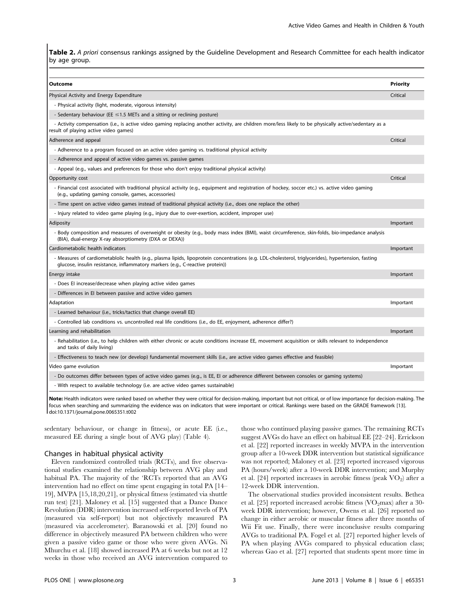Table 2. A priori consensus rankings assigned by the Guideline Development and Research Committee for each health indicator by age group.

| Outcome                                                                                                                                                                                                                              | <b>Priority</b> |
|--------------------------------------------------------------------------------------------------------------------------------------------------------------------------------------------------------------------------------------|-----------------|
| Physical Activity and Energy Expenditure                                                                                                                                                                                             | Critical        |
| - Physical activity (light, moderate, vigorous intensity)                                                                                                                                                                            |                 |
| - Sedentary behaviour (EE $\leq$ 1.5 METs and a sitting or reclining posture)                                                                                                                                                        |                 |
| - Activity compensation (i.e., is active video gaming replacing another activity, are children more/less likely to be physically active/sedentary as a<br>result of playing active video games)                                      |                 |
| Adherence and appeal                                                                                                                                                                                                                 | Critical        |
| - Adherence to a program focused on an active video gaming vs. traditional physical activity                                                                                                                                         |                 |
| - Adherence and appeal of active video games vs. passive games                                                                                                                                                                       |                 |
| - Appeal (e.g., values and preferences for those who don't enjoy traditional physical activity)                                                                                                                                      |                 |
| Opportunity cost                                                                                                                                                                                                                     | Critical        |
| - Financial cost associated with traditional physical activity (e.g., equipment and registration of hockey, soccer etc.) vs. active video gaming<br>(e.g., updating gaming console, games, accessories)                              |                 |
| - Time spent on active video games instead of traditional physical activity (i.e., does one replace the other)                                                                                                                       |                 |
| - Injury related to video game playing (e.g., injury due to over-exertion, accident, improper use)                                                                                                                                   |                 |
| Adiposity                                                                                                                                                                                                                            | Important       |
| - Body composition and measures of overweight or obesity (e.g., body mass index (BMI), waist circumference, skin-folds, bio-impedance analysis<br>(BIA), dual-energy X-ray absorptiometry (DXA or DEXA))                             |                 |
| Cardiometabolic health indicators                                                                                                                                                                                                    | Important       |
| - Measures of cardiometablolic health (e.g., plasma lipids, lipoprotein concentrations (e.g. LDL-cholesterol, triglycerides), hypertension, fasting<br>glucose, insulin resistance, inflammatory markers (e.g., C-reactive protein)) |                 |
| Energy intake                                                                                                                                                                                                                        | Important       |
| - Does El increase/decrease when playing active video games                                                                                                                                                                          |                 |
| - Differences in El between passive and active video gamers                                                                                                                                                                          |                 |
| Adaptation                                                                                                                                                                                                                           | Important       |
| - Learned behaviour (i.e., tricks/tactics that change overall EE)                                                                                                                                                                    |                 |
| - Controlled lab conditions vs. uncontrolled real life conditions (i.e., do EE, enjoyment, adherence differ?)                                                                                                                        |                 |
| Learning and rehabilitation                                                                                                                                                                                                          | Important       |
| - Rehabilitation (i.e., to help children with either chronic or acute conditions increase EE, movement acquisition or skills relevant to independence<br>and tasks of daily living)                                                  |                 |
| - Effectiveness to teach new (or develop) fundamental movement skills (i.e., are active video games effective and feasible)                                                                                                          |                 |
| Video game evolution                                                                                                                                                                                                                 | Important       |
| - Do outcomes differ between types of active video games (e.g., is EE, EI or adherence different between consoles or gaming systems)                                                                                                 |                 |
| - With respect to available technology (i.e. are active video games sustainable)                                                                                                                                                     |                 |
|                                                                                                                                                                                                                                      |                 |

Note: Health indicators were ranked based on whether they were critical for decision-making, important but not critical, or of low importance for decision-making. The focus when searching and summarizing the evidence was on indicators that were important or critical. Rankings were based on the GRADE framework [13]. doi:10.1371/journal.pone.0065351.t002

sedentary behaviour, or change in fitness), or acute EE (i.e., measured EE during a single bout of AVG play) (Table 4).

# Changes in habitual physical activity

Eleven randomized controlled trials (RCTs), and five observational studies examined the relationship between AVG play and habitual PA. The majority of the 'RCTs reported that an AVG intervention had no effect on time spent engaging in total PA [14– 19], MVPA [15,18,20,21], or physical fitness (estimated via shuttle run test) [21]. Maloney et al. [15] suggested that a Dance Dance Revolution (DDR) intervention increased self-reported levels of PA (measured via self-report) but not objectively measured PA (measured via accelerometer). Baranowski et al. [20] found no difference in objectively measured PA between children who were given a passive video game or those who were given AVGs. Ni Mhurchu et al. [18] showed increased PA at 6 weeks but not at 12 weeks in those who received an AVG intervention compared to

those who continued playing passive games. The remaining RCTs suggest AVGs do have an effect on habitual EE [22–24]. Errickson et al. [22] reported increases in weekly MVPA in the intervention group after a 10-week DDR intervention but statistical significance was not reported; Maloney et al. [23] reported increased vigorous PA (hours/week) after a 10-week DDR intervention; and Murphy et al. [24] reported increases in aerobic fitness (peak  $VO<sub>2</sub>$ ) after a 12-week DDR intervention.

The observational studies provided inconsistent results. Bethea et al. [25] reported increased aerobic fitness  $\langle VO_2 \rangle$  after a 30week DDR intervention; however, Owens et al. [26] reported no change in either aerobic or muscular fitness after three months of Wii Fit use. Finally, there were inconclusive results comparing AVGs to traditional PA. Fogel et al. [27] reported higher levels of PA when playing AVGs compared to physical education class; whereas Gao et al. [27] reported that students spent more time in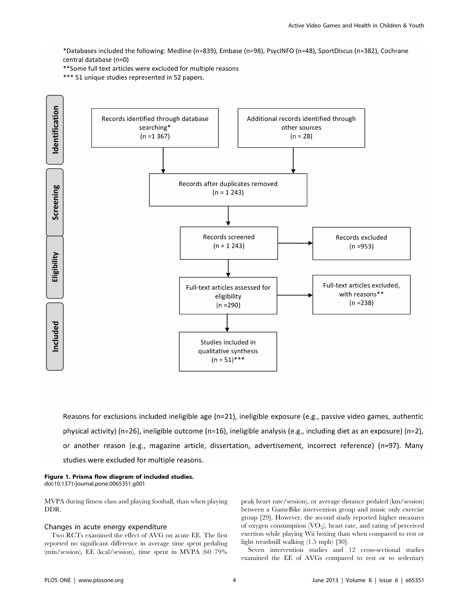\*Databases included the following: Medline (n=839), Embase (n=98), PsycINFO (n=48), SportDiscus (n=382), Cochrane central database (n=0)

\*\* Some full text articles were excluded for multiple reasons

\*\*\* 51 unique studies represented in 52 papers.



Reasons for exclusions included ineligible age (n=21), ineligible exposure (e.g., passive video games, authentic physical activity) (n=26), ineligible outcome (n=16), ineligible analysis (e.g., including diet as an exposure) (n=2), or another reason (e.g., magazine article, dissertation, advertisement, incorrect reference) (n=97). Many studies were excluded for multiple reasons.

#### Figure 1. Prisma flow diagram of included studies. doi:10.1371/journal.pone.0065351.g001

MVPA during fitness class and playing football, than when playing DDR.

#### Changes in acute energy expenditure

Two RCTs examined the effect of AVG on acute EE. The first reported no significant difference in average time spent pedaling (min/session), EE (kcal/session), time spent in MVPA (60–79% peak heart rate/session), or average distance pedaled (km/session) between a GameBike intervention group and music only exercise group [29]. However, the second study reported higher measures of oxygen consumption  $(VO_2)$ , heart rate, and rating of perceived exertion while playing Wii boxing than when compared to rest or light treadmill walking (1.5 mph) [30].

Seven intervention studies and 12 cross-sectional studies examined the EE of AVGs compared to rest or to sedentary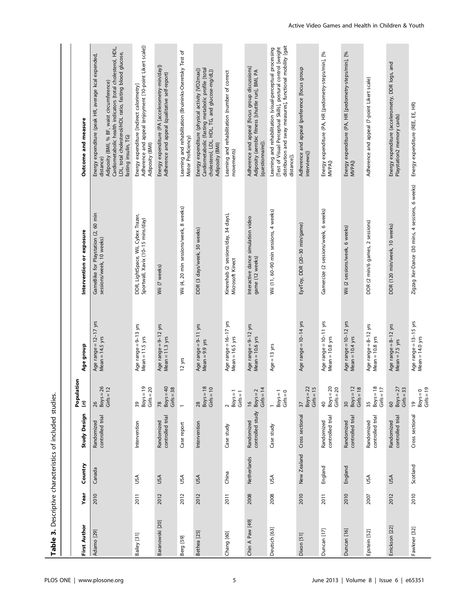| circled rappler<br>)<br>)<br>)<br>) |
|-------------------------------------|
|                                     |
| we characteristics of in-           |
| Doction is<br>ים<br>נסיכים נ        |
|                                     |
|                                     |

<u>.s</u>

| First Author    | Year | Country     | <b>Study Design</b>            | Population<br>Ξ                                | Age group                                  | Intervention or exposure                                                 | Outcome and measure                                                                                                                                                                                                                                              |
|-----------------|------|-------------|--------------------------------|------------------------------------------------|--------------------------------------------|--------------------------------------------------------------------------|------------------------------------------------------------------------------------------------------------------------------------------------------------------------------------------------------------------------------------------------------------------|
| Adamo [29]      | 2010 | Canada      | controlled trial<br>Randomized | $Boys = 26$<br>$Girls = 12$<br>26              | Age range = 12-17 yrs<br>$Mean = 14.5$ yrs | GameBike for Playstation (2, 60 min<br>sessions/week, 10 weeks)          | Cardiometabolic health indicators (total cholesterol, HDL,<br>LDL, total cholesterol/HDL ratio, fasting blood glucose,<br>Energy expenditure (peak HR, average kcal expended,<br>Adiposity (BMI, % BF, waist circumference)<br>fasting insulin, TG)<br>distance) |
| Bailey [31]     | 2011 | USA         | Intervention                   | $Boys = 19$<br>$Girls = 20$<br>39              | Age range = 9-13 yrs<br>$Mean = 11.5$ yrs  | DDR, LightSpace, Wii, Cybex Trazer,<br>Sportwall, Xavix (10-15 mins/day) | Adherence and appeal (enjoyment [10-point Likert scale])<br>Energy expenditure [indirect calorimetry]<br>Adiposity (BMI)                                                                                                                                         |
| Baranowski [20] | 2012 | USA         | controlled trial<br>Randomized | $Boys = 40$<br>Girls = 38<br>78                | Age range = 9-12 yrs<br>$Mean = 11.3$ yrs  | Wii (7 weeks)                                                            | Energy expenditure (PA [accelerometry-min/day])<br>Adherence and appeal (qualitative self-report)                                                                                                                                                                |
| Berg [59]       | 2012 | USA         | Case report                    | $\overline{a}$                                 | $12$ yrs                                   | Wii (4, 20 min sessions/week, 8 weeks)                                   | Learning and rehabilitation (Bruininks-Oseretsky Test of<br>Motor Proficiency)                                                                                                                                                                                   |
| Bethea [25]     | 2012 | USA         | Intervention                   | $Boys = 18$<br>Girls = 10<br>28                | Age range = 9-11 yrs<br>$Mean = 9.9$ yrs   | DDR (3 days/week, 30 weeks)                                              | Cardiometabolic (fasting metabolic profile [total<br>Energy expenditure (physical activity [VO2max])<br>cholesterol, LDL, HDL, TG, and glucose-mg/dL])<br>Adiposity (BMI)                                                                                        |
| Chang [60]      | 2011 | China       | Case study                     | $Boys = 1$<br>$Girls = 1$<br>$\sim$            | Age range = 16-17 yrs<br>$Mean = 16.5$ yrs | Kinerehab (2 sessions/day, 34 days),<br>Microsoft Kinect                 | Learning and rehabilitation (number of correct<br>movements)                                                                                                                                                                                                     |
| Chin A Paw [49] | 2008 | Netherlands | controlled study<br>Randomized | $Girls = 14$<br>$Boys = 2$<br>$\frac{6}{2}$    | Age range = 9-12 yrs<br>$Mean = 10.6$ yrs  | Interactive dance simulation video<br>game (12 weeks)                    | Adherence and appeal [focus group discussions]<br>Adiposity (aerobic fitness [shuttle run], BMI, PA<br>[questionnaire]).                                                                                                                                         |
| Deutsch [63]    | 2008 | USA         | Case study                     | $Boys = 1$<br>$Girls = 0$                      | $Age = 13$ yrs                             | Wii (11, 60-90 min sessions, 4 weeks)                                    | distribution and sway measures], functional mobility [gait<br>[Test of Visual Perceptual Skills], postural control [weight<br>Learning and rehabilitation (visual-perceptual processing<br>distance]).                                                           |
| Dixon [51]      | 2010 |             | New Zealand Cross sectional    | $Boys = 22$<br>$Girls = 15$<br>37              | Age range = 10-14 yrs                      | EyeToy, DDR (20-30 min/game)                                             | Adherence and appeal (preference [focus group<br>interviews])                                                                                                                                                                                                    |
| Duncan [17]     | 2011 | England     | controlled trial<br>Randomized | $Boys = 20$<br>$Girls = 20$<br>$\overline{6}$  | Age range = 10-11 yrs<br>$Mean = 10.8$ yrs | Gamercize (2 sessions/week, 6 weeks)                                     | Energy expenditure (PA, HR [pedometry-steps/min], [%<br>MVPA])                                                                                                                                                                                                   |
| Duncan [16]     | 2010 | England     | controlled trial<br>Randomized | $Boys = 12$<br>$Girls = 18$<br>$\overline{50}$ | Age range = 10-12 yrs<br>Mean = $10.4$ yrs | Wii (2 sessions/week, 6 weeks)                                           | Energy expenditure (PA, HR [pedometry-steps/min], [%<br>MVPA])                                                                                                                                                                                                   |
| Epstein [52]    | 2007 | USA         | controlled trial<br>Randomized | $Boys = 18$<br>$Girls = 17$<br>35              | Age range = 8-12 yrs<br>$Mean = 10.8$ yrs  | DDR (2 min/6 games, 2 sessions)                                          | Adherence and appeal (7-point Likert scale)                                                                                                                                                                                                                      |
| Errickson [22]  | 2012 | USA         | controlled trial<br>Randomized | $Boys = 27$<br>$Girls = 33$<br>60              | Age range = $8-12$ yrs<br>Mean = 7.5 yrs   | DDR (120 min/week, 10 weeks)                                             | Energy expenditure (accelerometry, DDR logs, and<br>Playstation2 memory cards)                                                                                                                                                                                   |
| Fawkner [32]    | 2010 | Scotland    | Cross sectional                | $Boys = 0$<br>Girls = 19<br>$\overline{6}$     | Age range = 13-15 yrs<br>$Mean = 14.0$ yrs | Zigzag Xer-Dance (30 mins, 4 sessions, 6 weeks)                          | Energy expenditure (REE, EE, HR)                                                                                                                                                                                                                                 |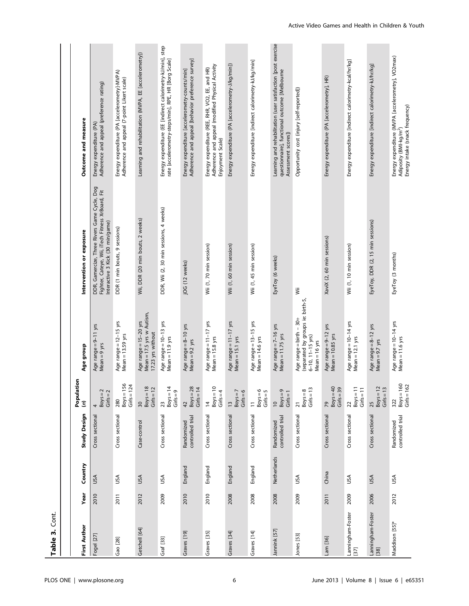| Table 3. Cont.              |      |             |                                |                                                |                                                                                                       |                                                                                                                                      |                                                                                                                                       |
|-----------------------------|------|-------------|--------------------------------|------------------------------------------------|-------------------------------------------------------------------------------------------------------|--------------------------------------------------------------------------------------------------------------------------------------|---------------------------------------------------------------------------------------------------------------------------------------|
| First Author                | Year | Country     | <b>Study Design</b>            | å<br>Populati<br>Ξ                             | Age group                                                                                             | Intervention or exposure                                                                                                             | Outcome and measure                                                                                                                   |
| Fogel [27]                  | 2010 | USA         | Cross sectional                | $Boys = 2$<br>$Girls = 2$<br>4                 | Age range = 9-11 yrs<br>$Mean = 9$ yrs                                                                | DDR, Gamercize, Three Rivers Game Cycle, Dog<br>Fighter, Cateye, Wii, iTech Fitness XrBoard, Fit<br>Interactive 3 Kick (30 min/game) | Adherence and appeal (preference rating)<br>Energy expenditure (PA)                                                                   |
| Gao [28]                    | 2011 | USA         | Cross sectional                | $Boys = 156$<br>Girls = $124$<br>280           | Age range = 12-15 yrs<br>$Mean = 13.59$ yrs                                                           | DDR (1 min bouts, 9 sessions)                                                                                                        | Energy expenditure (PA [accelerometry]-MVPA)<br>Adherence and appeal (7-point Likert scale)                                           |
| Getchell [64]               | 2012 | USA         | Case-control                   | $Boys = 18$<br>$Girls = 12$<br>30 <sub>o</sub> | Mean = 17.5 yrs w Autism,<br>Age range = 15-20 yrs<br>17.23 yrs without                               | Wii, DDR (20 min bouts, 2 weeks)                                                                                                     | Learning and rehabilitation (MVPA, EE [accelerometry])                                                                                |
| Graf [33]                   | 2009 | USA         | Cross sectional                | $Boys = 14$<br>$Girls=9$<br>23                 | Age range = 10-13 yrs<br>$Mean = 11.9$ yrs                                                            | DDR, Wii (2, 30 min sessions, 4 weeks)                                                                                               | Energy expenditure (EE [indirect calorimetry-kJ/min], step<br>rate [accelerometry-steps/min], RPE, HR [Borg Scale]                    |
| Graves [19]                 | 2010 | England     | controlled trial<br>Randomized | $Boys = 28$<br>$Girls = 14$<br>42              | Age range = 8-10 yrs<br>$Mean = 9.2$ yrs                                                              | jOG (12 weeks)                                                                                                                       | Adherence and appeal [behavior preference survey]<br>Energy expenditure [accelerometry-counts/min]                                    |
| Graves [35]                 | 2010 | England     | Cross sectional                | $Boys = 10$<br>$Girls = 4$<br>$\frac{1}{4}$    | Age range = 11-17 yrs<br>$Mean = 15.8$ yrs                                                            | Wii (1, 70 min session)                                                                                                              | Adherence and appeal (modified Physical Activity<br>Energy expenditure (REE, RHR, VO2, EE, and HR)<br>Enjoyment Scale)                |
| Graves [34]                 | 2008 | England     | Cross sectional                | $Boys = 7$<br>$Girls = 6$<br>$\tilde{5}$       | Age range = 11-17 yrs<br>$Mean = 15.1$ yrs                                                            | Wii (1, 60 min session)                                                                                                              | Energy expenditure (PA [accelerometry-J/kg/min])                                                                                      |
| Graves [14]                 | 2008 | England     | Cross sectional                | $Boys = 6$<br>$Girls = 5$<br>$\overline{1}$    | Age range = 13-15 yrs<br>$Mean = 14.6$ yrs                                                            | Wii (1, 45 min session)                                                                                                              | Energy expenditure [indirect calorimetry-kJ/kg/min]                                                                                   |
| Jannink [57]                | 2008 | Netherlands | controlled trial<br>Randomized | $Boys = 9$<br>$Girls = 1$<br>$\overline{10}$   | Age range = $7-16$ yrs<br>Mean = $11.75$ yrs                                                          | EyeToy (6 weeks)                                                                                                                     | Learning and rehabilitation (user satisfaction [post exercise<br>questionnaire], functional outcome [Melbourne<br>Assessment scores]) |
| Jones [53]                  | 2009 | USA         | Cross sectional                | $Girls = 13$<br>$Boys = 8$<br>$\overline{21}$  | (separated by groups ie: birth-5,<br>Age range = birth - 30+<br>$6-10, 11-15$ yrs)<br>$Mean = 16$ yrs | ΪŃ                                                                                                                                   | Opportunity cost (injury [self-reported])                                                                                             |
| Lam [36]                    | 2011 | China       | Cross sectional                | $Boys = 40$<br>$Girls = 39$<br>79              | Age range = 9-12 yrs<br>$Mean = 10.85$ yrs                                                            | XaviX (2, 60 min sessions)                                                                                                           | Energy expenditure (PA [accelerometry], HR)                                                                                           |
| Lanningham-Foster<br>[37]   | 2009 | USA         | Cross sectional                | $Boys = 11$<br>$Girls = 11$<br>22              | Age range = 10-14 yrs<br>$Mean = 12.1$ yrs                                                            | Wii (1, 10 min session)                                                                                                              | Energy expenditure [indirect calorimetry-kcal/hr/kg]                                                                                  |
| Lanningham-Foster<br>$[38]$ | 2006 | USA         | Cross sectional                | $Boys = 12$<br>$Girls = 13$<br>25              | Age range = 8-12 yrs<br>$Mean = 9.7$ yrs                                                              | EyeToy, DDR (2, 15 min sessions)                                                                                                     | Energy expenditure [indirect calorimetry-kJ/hr/kg]                                                                                    |
| Maddison [55]*              | 2012 | USA         | controlled trial<br>Randomized | $Boys = 160$<br>Girls = 162<br>322             | Age range = 10-14 yrs<br>Mean = 11.6 yrs                                                              | EyeToy (3 months)                                                                                                                    | Energy expenditure (MVPA [accelerometry], VO2max)<br>Adiposity (BMI-kg/m <sup>2</sup> )<br>Energy intake (snack frequency)            |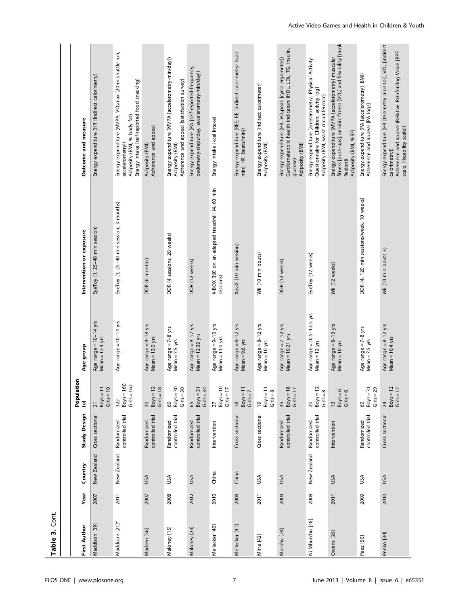| Table 3. Cont.  |      |             |                                |                                                |                                              |                                                           |                                                                                                                                                                               |
|-----------------|------|-------------|--------------------------------|------------------------------------------------|----------------------------------------------|-----------------------------------------------------------|-------------------------------------------------------------------------------------------------------------------------------------------------------------------------------|
| First Author    | Year | Country     | <b>Study Design</b>            | Population<br>$\overline{\epsilon}$            | Age group                                    | Intervention or exposure                                  | Outcome and measure                                                                                                                                                           |
| Maddison [39]   | 2007 | New Zealand | Cross sectional                | $Girls = 10$<br>$Boys = 11$<br>$\overline{21}$ | Age range = 10-14 yrs<br>$Mean = 12.4$ yrs   | EyeToy (1, 25-40 min session)                             | Energy expenditure (HR [indirect calorimetry]                                                                                                                                 |
| Maddison [21]*  | 2011 | New Zealand | controlled trial<br>Randomized | $Boys = 160$<br>Girls = $162$<br>322           | Age range = 10-14 yrs                        | EyeToy (1, 25-40 min session, 3 months)                   | Energy expenditure (MVPA, VO <sub>2</sub> max [20-m shuttle run,<br>Energy Intake [self-reported food snacking]<br>Adiposity (BMI, % body fat)<br>accelerometry])             |
| Madsen [56]     | 2007 | USA         | controlled trial<br>Randomized | $30$<br>$Boys = 12$<br>$Girls = 18$            | Age range = 9-18 yrs<br>$Mean = 13.0$ yrs    | DDR (6 months)                                            | Adherence and appeal<br>Adiposity (BMI)                                                                                                                                       |
| Maloney [15]    | 2008 | USA         | controlled trial<br>Randomized | $Boys = 30$<br>$Girls = 30$<br>60              | Age range = 7-8 yrs<br>$Mean = 7.5$ yrs      | DDR (4 sessions, 28 weeks)                                | Energy expenditure (MVPA [accelerometry-min/day])<br>Adherence and appeal [satisfaction survey]<br>Adiposity (BMI)                                                            |
| Maloney [23]    | 2012 | USA         | controlled trial<br>Randomized | $Boys = 31$<br>$Girls = 34$<br>65              | Age range = 9-17 yrs<br>$Mean = 12.32$ yrs   | DDR (12 weeks)                                            | Energy expenditure (PA [self-reported-frequency,<br>pedometry-steps/day, accelerometry-min/day])                                                                              |
| Mellecker [40]  | 2010 | China       | Intervention                   | $Boys = 10$<br>$Girls = 17$<br>27              | Age range = 9-13 yrs<br>$Mean = 11.0$ yrs    | X-BOX 360 on an adapted treadmill (4, 60 min<br>sessions) | Energy intake [kcal intake]                                                                                                                                                   |
| Mellecker [41]  | 2008 | China       | Cross sectional                | $Boys = 11$<br>Girls = $7$<br>18               | Age range = 6-12 yrs<br>$Mean = 9.6$ yrs     | XaviX (10 min session)                                    | Energy expenditure (REE, EE [indirect calorimetry- kcal/<br>min], HR [beats/min])                                                                                             |
| Mitre [42]      | 2011 | USA         | Cross sectional                | $Boys = 11$<br>$Girls = 8$<br>$\overline{6}$   | Age range = 8-12 yrs<br>$Mean = 10$ yrs      | Wii (10 min bouts)                                        | Energy expenditure [indirect calorimeter]<br>Adiposity (BMI)                                                                                                                  |
| Murphy [24]     | 2009 | USA         | controlled trial<br>Randomized | $Boys = 18$<br>$Girls = 17$<br>35              | Age range = 7-12 yrs<br>$Mean = 10.21$ yrs   | DDR (12 weeks)                                            | Cardiometabolic health indicators (HDL, LDL, TG, insulin,<br>Energy expenditure (HR, VO <sub>2</sub> peak [cycle ergometer])<br>Adiposity (BMI)<br>glucose)                   |
| Ni Mhurchu [18] | 2008 | New Zealand | controlled trial<br>Randomized | $Boys = 12$<br>$Girls = 8$<br>20               | Age range = 10.5-13.5 yrs<br>$Mean = 12$ yrs | EyeToy (12 weeks)                                         | Energy expenditure [accelerometry, Physical Activity<br>Questionnaire for Children, activity log]<br>Adiposity (BMI, waist circumference)                                     |
| Owens [26]      | 2011 | USA         | Intervention                   | $Boys = 6$<br>$Girls=6$<br>$\overline{12}$     | Age range = $8-13$ yrs<br>Mean = 10 yrs      | Wii (12 weeks)                                            | Energy expenditure (MVPA [accelerometry] muscular<br>fitness [push-ups], aerobic fitness [VO <sub>2</sub> ] and flexibility [trunk<br>Adiposity (BMI, %BF)<br>flexion])       |
| Paez [50]       | 2009 | USA         | controlled trial<br>Randomized | $60$<br>Boys = 31<br>$Girls = 29$              | Age range = 7-8 yrs<br>$Mean = 7.5$ yrs      | DDR (4, 120 min sessions/week, 10 weeks)                  | Energy expenditure (PA [accelerometry], BMI)<br>Adherence and appeal [PA logs]                                                                                                |
| Penko [30]      | 2010 | USA         | Cross sectional                | $Boys = 12$<br>$Girls = 12$<br>24              | Age range = 8-12 yrs<br>$Mean = 10.4$ yrs    | Wii (10 min bouts +)                                      | Energy expenditure (HR [telemetry monitor], VO <sub>2</sub> [indirect<br>Adherence and appeal (Relative Reinforcing Value [RPE<br>scale, likeability scale])<br>calorimetry]) |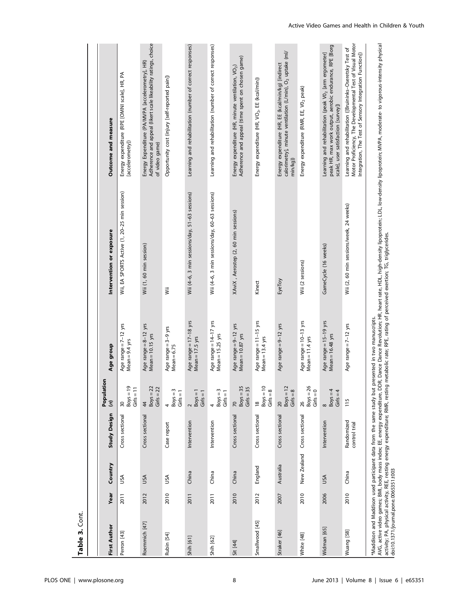| Table 3. Cont.                                                                                                                                                                                  |      |             |                             |                                                      |                                                                                                        |                                               |                                                                                                                                                                                                                                |
|-------------------------------------------------------------------------------------------------------------------------------------------------------------------------------------------------|------|-------------|-----------------------------|------------------------------------------------------|--------------------------------------------------------------------------------------------------------|-----------------------------------------------|--------------------------------------------------------------------------------------------------------------------------------------------------------------------------------------------------------------------------------|
| First Author                                                                                                                                                                                    | Year | Country     | <b>Study Design</b>         | Population<br>$\epsilon$                             | Age group                                                                                              | Intervention or exposure                      | Outcome and measure                                                                                                                                                                                                            |
| Perron [43]                                                                                                                                                                                     | 2011 | USA         | Cross sectional             | $Boys = 19$<br>$Girls = 11$<br>50                    | Age range = 7-12 yrs<br>Mean = $9.4$ yrs                                                               | Wii, EA SPORTS Active (1, 20-25 min session)  | Energy expenditure (RPE [OMNI scale], HR, PA<br>[accelerometry])                                                                                                                                                               |
| Roemmich [47]                                                                                                                                                                                   | 2012 | USA         | Cross sectional             | $Boys = 22$<br>Girls = 22<br>$\frac{4}{3}$           | Age range = 8-12 yrs<br>$Mean = 10.15$ yrs                                                             | Wii (1, 60 min session)                       | Adherence and appeal (likert scale likeability ratings, choice<br>Energy Expenditure (PA/MVPA [accelerometry], HR)<br>of video game)                                                                                           |
| Rubin [54]                                                                                                                                                                                      | 2010 | USA         | Case report                 | $Boys = 3$<br>$Girls = 1$                            | Age range = 3-9 yrs<br>$Mean = 6.75$                                                                   | ΪW                                            | Opportunity cost (injury [self-reported pain])                                                                                                                                                                                 |
| Shih [61]                                                                                                                                                                                       | 2011 | China       | Intervention                | $Boys = 1$<br>$Girls = 1$<br>$\overline{\mathsf{c}}$ | Age range = 17-18 yrs<br>$Mean = 17.5$ yrs                                                             | Wii (4-6, 3 min sessions/day, 51-63 sessions) | Learning and rehabilitation (number of correct responses)                                                                                                                                                                      |
| Shih [62]                                                                                                                                                                                       | 2011 | China       | Intervention                | $Boys = 3$<br>$Girls = 1$                            | Age range = 14-17 yrs<br>$Mean = 15.25$ yrs                                                            | Wii (4-6, 3 min sessions/day, 60-63 sessions) | Learning and rehabilitation (number of correct responses)                                                                                                                                                                      |
| Sit [44]                                                                                                                                                                                        | 2010 | China       | Cross sectional             | $Boys = 35$<br>$Girls = 35$<br>$\overline{2}$        | Age range = $9-12$ yrs<br>Mean = $10.87$ yrs                                                           | XAviX, Aerostep (2, 60 min sessions)          | Adherence and appeal (time spent on chosen game)<br>Energy expenditure (HR, minute ventilation, VO <sub>2</sub> )                                                                                                              |
| Smallwood [45]                                                                                                                                                                                  | 2012 | England     | Cross sectional             | $Boys = 10$<br>$Girls = 8$<br>$\frac{8}{2}$          | Age range = 11-15 yrs<br>$Mean = 13.4$ yrs                                                             | Kinect                                        | Energy expenditure (HR, VO <sub>2</sub> , EE (kcal/min))                                                                                                                                                                       |
| Straker [46]                                                                                                                                                                                    | 2007 | Australia   | Cross sectional             | $Boys = 12$<br>$Girls = 8$<br>20                     | Age range = 9-12 yrs                                                                                   | EyeToy                                        | calorimetry], minute ventilation (L/min), O <sub>2</sub> uptake (ml/<br>Energy expenditure (HR, EE (kcal/min/kg) [indirect<br>min/kg)                                                                                          |
| White [48]                                                                                                                                                                                      | 2010 | New Zealand | Cross sectional             | $Boys = 26$<br>$Girls = 0$<br>26                     | Age range = 10-13 yrs<br>$Mean = 11.4$ yrs                                                             | Wii (2 sessions)                              | Energy expenditure (RMR, EE, VO <sub>2</sub> peak)                                                                                                                                                                             |
| Widman [65]                                                                                                                                                                                     | 2006 | USA         | Intervention                | $Boys = 4$<br>$Girls = 4$<br>$\infty$                | Age range = 15-19 yrs<br>Mean = 16.48 yrs                                                              | GameCycle (16 weeks)                          | peak HR, max work output, aerobic endurance, RPE [Borg<br>Learning and rehabilitation (peak V0 <sub>2</sub> [arm ergometer]<br>scale], user satisfaction [survey])                                                             |
| Wuang [58]                                                                                                                                                                                      | 2010 | China       | Randomized<br>control trial | 115                                                  | Age range = 7-12 yrs                                                                                   | Wii (2, 60 min sessions/week, 24 weeks)       | Motor Proficiency, The Developmental Test of Visual Motor<br>Learning and rehabilitation ([Bruininks-Oseretsky Test of<br>ntegration, The Test of Sensory Integration Function])                                               |
| activity; PA, physical activity, REE, resting energy expenditure; RMR, resting<br>*Maddison and Maddison used participant data from the same study but<br>doi:10.1371/journal.pone.0065351.t003 |      |             |                             |                                                      | metabolic rate; RPE, rating of perceived exertion; TG, triglycerides.<br>presented in two manuscripts. |                                               | AVG, active video games; BMI, body mass index; EE, energy expenditure, DDR, Dance Dance Revolution; HR, heart rate, HDL, high-density lipoprotein; LDL, low-density lipoprotein; MVPA, moderate- to vigorous-intensity physica |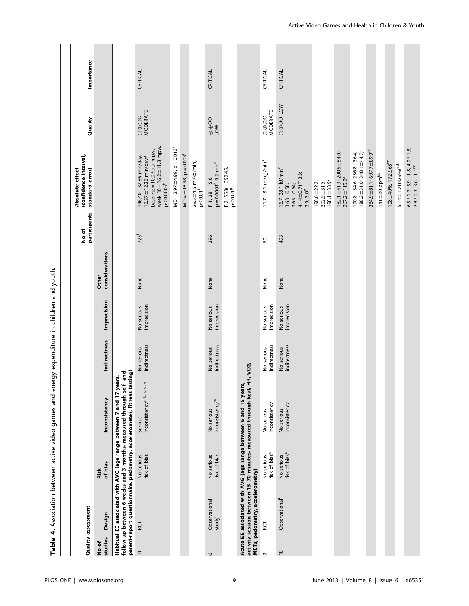|                    |                                     |                                         | Table 4. Association between active video games and energy expenditure in children and youth.                                                                                                                       |                            |                           |                         |                       |                                                                                                                                                          |                                                              |            |
|--------------------|-------------------------------------|-----------------------------------------|---------------------------------------------------------------------------------------------------------------------------------------------------------------------------------------------------------------------|----------------------------|---------------------------|-------------------------|-----------------------|----------------------------------------------------------------------------------------------------------------------------------------------------------|--------------------------------------------------------------|------------|
| Quality assessment |                                     |                                         |                                                                                                                                                                                                                     |                            |                           |                         | participants<br>No of | (confidence interval,<br>Absolute effect<br>standard error)                                                                                              | Quality                                                      | Importance |
| studies<br>No of   | Design                              | of bias<br>Risk                         | Inconsistency                                                                                                                                                                                                       | Indirectness               | Imprecision               | considerations<br>Other |                       |                                                                                                                                                          |                                                              |            |
|                    |                                     |                                         | follow-up between 6 weeks and 3 months, measured through self- and<br>parent-report questionnaire, pedometry, accelerometer, fitness testing)<br>Habitual EE associated with AVG (age range between 7 and 17 years, |                            |                           |                         |                       |                                                                                                                                                          |                                                              |            |
| $\overline{1}$     | RCT                                 | risk of bias<br>No serious              | inconsistency <sup>a, b, c, d, e</sup><br>Serious                                                                                                                                                                   | indirectness<br>No serious | No serious<br>imprecision | None                    | $725^f$               | week 10 = 16.2±11.8 mpw,<br>p<0.0005 <sup>h</sup><br>baseline = $10.0 \pm 7.7$ mpw,<br>146.40 ± 37.86 min/day,<br>$16.37 \pm 12.26$ min/day <sup>9</sup> |                                                              | CRITICAL   |
|                    |                                     |                                         |                                                                                                                                                                                                                     |                            |                           |                         |                       | $MD = 2.97 \pm 4.99$ , $p = 0.013$                                                                                                                       |                                                              |            |
|                    |                                     |                                         |                                                                                                                                                                                                                     |                            |                           |                         |                       | $MD = -18.98$ , $p = 0.003^{j}$                                                                                                                          |                                                              |            |
|                    |                                     |                                         |                                                                                                                                                                                                                     |                            |                           |                         |                       | 29.5±4.5 ml/kg/min,<br>p<0.01 <sup>k</sup>                                                                                                               |                                                              |            |
| $\circ$            | Observational<br>study <sup>l</sup> | No serious<br>risk of bias              | No serious<br>inconsistency <sup>m</sup>                                                                                                                                                                            | No serious<br>indirectness | No serious<br>imprecision | None                    | 296                   | $p = 0.0001^{n}$ 9.2 min <sup>o</sup><br>$F1, 28 = 15.6$                                                                                                 |                                                              | CRITICAL   |
|                    |                                     |                                         |                                                                                                                                                                                                                     |                            |                           |                         |                       | $F(2, 558) = 352.45,$<br>$p<0.01^{p}$                                                                                                                    |                                                              |            |
|                    | METs, pedometry, accelerometry)     |                                         | activity session between 15-70 minutes, measured through kcal, H<br>Acute EE associated with AVG (age range between 6 and 15 years,                                                                                 | R, VO2,                    |                           |                         |                       |                                                                                                                                                          |                                                              |            |
| $\sim$             | RCT                                 | risk of bias <sup>q</sup><br>No serious | inconsistency <sup>r</sup><br>No serious                                                                                                                                                                            | indirectness<br>No serious | imprecision<br>No serious | None                    | 50                    | $11.7 \pm 3.1$ ml/kg/min <sup>5</sup>                                                                                                                    | MODERATE<br>$\begin{matrix} 0 \\ \oplus \oplus \end{matrix}$ | CRITICAL   |
| $\frac{8}{2}$      | Observational <sup>t</sup>          | risk of bias <sup>u</sup><br>No serious | inconsistency<br>No serious                                                                                                                                                                                         | indirectness<br>No serious | No serious<br>imprecision | None                    | 493                   | 16.7-28.1 kJ/min <sup>v</sup><br>$4.14 \pm 0.71^{\rm w}$ 3.3;<br>$3.63 \pm 0.58$ ;<br>$3.65 \pm 0.54;$<br>$2.9; 3.0*$                                    | MOT OO ⊕⊕                                                    | CRITICAL   |
|                    |                                     |                                         |                                                                                                                                                                                                                     |                            |                           |                         |                       | $198.1 + 33.9$ <sup>y</sup><br>$202.5 \pm 31.5$ ;<br>$190.6 + 22.2$                                                                                      |                                                              |            |
|                    |                                     |                                         |                                                                                                                                                                                                                     |                            |                           |                         |                       | $182.1 \pm 41.3$ ; 200.5 $\pm$ 54.0;<br>$267.2 \pm 115.8^2$                                                                                              |                                                              |            |
|                    |                                     |                                         |                                                                                                                                                                                                                     |                            |                           |                         |                       | $190.8 \pm 34.6$ ; 236.8 $\pm$ 36.4;<br>$188.2 \pm 31.0$ ; 348.1 $\pm$ 44.7;                                                                             |                                                              |            |
|                    |                                     |                                         |                                                                                                                                                                                                                     |                            |                           |                         |                       | $384.9 + 81.1$ ; 697.7 + 89.9 <sup>aa</sup>                                                                                                              |                                                              |            |
|                    |                                     |                                         |                                                                                                                                                                                                                     |                            |                           |                         |                       | $141 \pm 20$ bpm <sup>bb</sup>                                                                                                                           |                                                              |            |
|                    |                                     |                                         |                                                                                                                                                                                                                     |                            |                           |                         |                       | $108 + 40\%$ , $172 + 68^{\circ c}$                                                                                                                      |                                                              |            |
|                    |                                     |                                         |                                                                                                                                                                                                                     |                            |                           |                         |                       | $5.14 \pm 1.71(329%)$ dd                                                                                                                                 |                                                              |            |
|                    |                                     |                                         |                                                                                                                                                                                                                     |                            |                           |                         |                       | $6.5 \pm 1.7$ , $5.9 \pm 1.8$ , $4.9 \pm 1.3$ ,<br>2.9 $\pm$ 0.3, $3.6 \pm 1.1$ ee                                                                       |                                                              |            |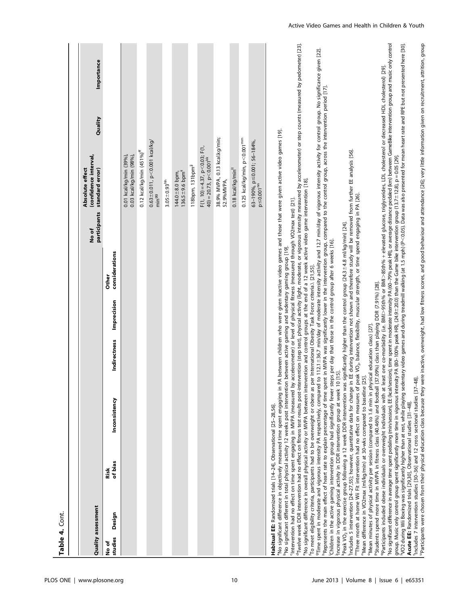| Table 4. Cont.                                                                                                                                                                                                                                                                                                                                                                                                                                                                                                                                                                                                                                                                                                                                                                                                                                                                                                                                                                                                                                                                                                                                                                                                                                                                                                                                                                                                                                                                                                                                                                                                                                                                                                                                                                                                                                                                                                                                                                                                                                                                                                                                                                                                                                                                                                                                                                                                                                                                                                                                                                                                                                                                                                                                                                                                                                                                                                                                                                                                                                                                                                                                                                                                                                                                                                                                                                                                                                                                                                                                                                                                                                                |                                                                                                                                                                                                               |                       |                                                                                                                                                     |  |
|---------------------------------------------------------------------------------------------------------------------------------------------------------------------------------------------------------------------------------------------------------------------------------------------------------------------------------------------------------------------------------------------------------------------------------------------------------------------------------------------------------------------------------------------------------------------------------------------------------------------------------------------------------------------------------------------------------------------------------------------------------------------------------------------------------------------------------------------------------------------------------------------------------------------------------------------------------------------------------------------------------------------------------------------------------------------------------------------------------------------------------------------------------------------------------------------------------------------------------------------------------------------------------------------------------------------------------------------------------------------------------------------------------------------------------------------------------------------------------------------------------------------------------------------------------------------------------------------------------------------------------------------------------------------------------------------------------------------------------------------------------------------------------------------------------------------------------------------------------------------------------------------------------------------------------------------------------------------------------------------------------------------------------------------------------------------------------------------------------------------------------------------------------------------------------------------------------------------------------------------------------------------------------------------------------------------------------------------------------------------------------------------------------------------------------------------------------------------------------------------------------------------------------------------------------------------------------------------------------------------------------------------------------------------------------------------------------------------------------------------------------------------------------------------------------------------------------------------------------------------------------------------------------------------------------------------------------------------------------------------------------------------------------------------------------------------------------------------------------------------------------------------------------------------------------------------------------------------------------------------------------------------------------------------------------------------------------------------------------------------------------------------------------------------------------------------------------------------------------------------------------------------------------------------------------------------------------------------------------------------------------------------------------------|---------------------------------------------------------------------------------------------------------------------------------------------------------------------------------------------------------------|-----------------------|-----------------------------------------------------------------------------------------------------------------------------------------------------|--|
|                                                                                                                                                                                                                                                                                                                                                                                                                                                                                                                                                                                                                                                                                                                                                                                                                                                                                                                                                                                                                                                                                                                                                                                                                                                                                                                                                                                                                                                                                                                                                                                                                                                                                                                                                                                                                                                                                                                                                                                                                                                                                                                                                                                                                                                                                                                                                                                                                                                                                                                                                                                                                                                                                                                                                                                                                                                                                                                                                                                                                                                                                                                                                                                                                                                                                                                                                                                                                                                                                                                                                                                                                                                               |                                                                                                                                                                                                               |                       |                                                                                                                                                     |  |
| <b>Quality assessment</b>                                                                                                                                                                                                                                                                                                                                                                                                                                                                                                                                                                                                                                                                                                                                                                                                                                                                                                                                                                                                                                                                                                                                                                                                                                                                                                                                                                                                                                                                                                                                                                                                                                                                                                                                                                                                                                                                                                                                                                                                                                                                                                                                                                                                                                                                                                                                                                                                                                                                                                                                                                                                                                                                                                                                                                                                                                                                                                                                                                                                                                                                                                                                                                                                                                                                                                                                                                                                                                                                                                                                                                                                                                     |                                                                                                                                                                                                               | participants<br>No of | Importance<br>Quality<br>(confidence interval,<br>standard error)<br>Absolute effect                                                                |  |
| Indirectness<br>Inconsistency<br>Risk<br>of bias<br>Design<br>studies<br>No of                                                                                                                                                                                                                                                                                                                                                                                                                                                                                                                                                                                                                                                                                                                                                                                                                                                                                                                                                                                                                                                                                                                                                                                                                                                                                                                                                                                                                                                                                                                                                                                                                                                                                                                                                                                                                                                                                                                                                                                                                                                                                                                                                                                                                                                                                                                                                                                                                                                                                                                                                                                                                                                                                                                                                                                                                                                                                                                                                                                                                                                                                                                                                                                                                                                                                                                                                                                                                                                                                                                                                                                | considerations<br><b>Other</b><br>Imprecision                                                                                                                                                                 |                       |                                                                                                                                                     |  |
|                                                                                                                                                                                                                                                                                                                                                                                                                                                                                                                                                                                                                                                                                                                                                                                                                                                                                                                                                                                                                                                                                                                                                                                                                                                                                                                                                                                                                                                                                                                                                                                                                                                                                                                                                                                                                                                                                                                                                                                                                                                                                                                                                                                                                                                                                                                                                                                                                                                                                                                                                                                                                                                                                                                                                                                                                                                                                                                                                                                                                                                                                                                                                                                                                                                                                                                                                                                                                                                                                                                                                                                                                                                               |                                                                                                                                                                                                               |                       | 0.03 kcal/kg/min (98%),<br>0.01 kcal/kg/min (39%),                                                                                                  |  |
|                                                                                                                                                                                                                                                                                                                                                                                                                                                                                                                                                                                                                                                                                                                                                                                                                                                                                                                                                                                                                                                                                                                                                                                                                                                                                                                                                                                                                                                                                                                                                                                                                                                                                                                                                                                                                                                                                                                                                                                                                                                                                                                                                                                                                                                                                                                                                                                                                                                                                                                                                                                                                                                                                                                                                                                                                                                                                                                                                                                                                                                                                                                                                                                                                                                                                                                                                                                                                                                                                                                                                                                                                                                               |                                                                                                                                                                                                               |                       | $0.12$ kcal/kg/min (451%) <sup>ff</sup>                                                                                                             |  |
|                                                                                                                                                                                                                                                                                                                                                                                                                                                                                                                                                                                                                                                                                                                                                                                                                                                                                                                                                                                                                                                                                                                                                                                                                                                                                                                                                                                                                                                                                                                                                                                                                                                                                                                                                                                                                                                                                                                                                                                                                                                                                                                                                                                                                                                                                                                                                                                                                                                                                                                                                                                                                                                                                                                                                                                                                                                                                                                                                                                                                                                                                                                                                                                                                                                                                                                                                                                                                                                                                                                                                                                                                                                               |                                                                                                                                                                                                               |                       | $0.63 \pm 0.011$ , p<0.001 kcal/kg/<br>min <sup>99</sup>                                                                                            |  |
|                                                                                                                                                                                                                                                                                                                                                                                                                                                                                                                                                                                                                                                                                                                                                                                                                                                                                                                                                                                                                                                                                                                                                                                                                                                                                                                                                                                                                                                                                                                                                                                                                                                                                                                                                                                                                                                                                                                                                                                                                                                                                                                                                                                                                                                                                                                                                                                                                                                                                                                                                                                                                                                                                                                                                                                                                                                                                                                                                                                                                                                                                                                                                                                                                                                                                                                                                                                                                                                                                                                                                                                                                                                               |                                                                                                                                                                                                               |                       | $3.05 \pm 0.93^{hh}$                                                                                                                                |  |
|                                                                                                                                                                                                                                                                                                                                                                                                                                                                                                                                                                                                                                                                                                                                                                                                                                                                                                                                                                                                                                                                                                                                                                                                                                                                                                                                                                                                                                                                                                                                                                                                                                                                                                                                                                                                                                                                                                                                                                                                                                                                                                                                                                                                                                                                                                                                                                                                                                                                                                                                                                                                                                                                                                                                                                                                                                                                                                                                                                                                                                                                                                                                                                                                                                                                                                                                                                                                                                                                                                                                                                                                                                                               |                                                                                                                                                                                                               |                       | $136.5 + 9.6$ bpm <sup>ii</sup><br>$144.0 + 8.0$ bpm,                                                                                               |  |
|                                                                                                                                                                                                                                                                                                                                                                                                                                                                                                                                                                                                                                                                                                                                                                                                                                                                                                                                                                                                                                                                                                                                                                                                                                                                                                                                                                                                                                                                                                                                                                                                                                                                                                                                                                                                                                                                                                                                                                                                                                                                                                                                                                                                                                                                                                                                                                                                                                                                                                                                                                                                                                                                                                                                                                                                                                                                                                                                                                                                                                                                                                                                                                                                                                                                                                                                                                                                                                                                                                                                                                                                                                                               |                                                                                                                                                                                                               |                       | 118bpm, 131bpm <sup>jj</sup>                                                                                                                        |  |
|                                                                                                                                                                                                                                                                                                                                                                                                                                                                                                                                                                                                                                                                                                                                                                                                                                                                                                                                                                                                                                                                                                                                                                                                                                                                                                                                                                                                                                                                                                                                                                                                                                                                                                                                                                                                                                                                                                                                                                                                                                                                                                                                                                                                                                                                                                                                                                                                                                                                                                                                                                                                                                                                                                                                                                                                                                                                                                                                                                                                                                                                                                                                                                                                                                                                                                                                                                                                                                                                                                                                                                                                                                                               |                                                                                                                                                                                                               |                       | $F(1, 10) = 4.37, p < 0.03; F(1,$<br>$40$ ) = 20.73, p<0.001 <sup>kk</sup>                                                                          |  |
|                                                                                                                                                                                                                                                                                                                                                                                                                                                                                                                                                                                                                                                                                                                                                                                                                                                                                                                                                                                                                                                                                                                                                                                                                                                                                                                                                                                                                                                                                                                                                                                                                                                                                                                                                                                                                                                                                                                                                                                                                                                                                                                                                                                                                                                                                                                                                                                                                                                                                                                                                                                                                                                                                                                                                                                                                                                                                                                                                                                                                                                                                                                                                                                                                                                                                                                                                                                                                                                                                                                                                                                                                                                               |                                                                                                                                                                                                               |                       | 38.9% MVPA, 0.13 kcal.kg/min;<br>52.9% MVPA,                                                                                                        |  |
|                                                                                                                                                                                                                                                                                                                                                                                                                                                                                                                                                                                                                                                                                                                                                                                                                                                                                                                                                                                                                                                                                                                                                                                                                                                                                                                                                                                                                                                                                                                                                                                                                                                                                                                                                                                                                                                                                                                                                                                                                                                                                                                                                                                                                                                                                                                                                                                                                                                                                                                                                                                                                                                                                                                                                                                                                                                                                                                                                                                                                                                                                                                                                                                                                                                                                                                                                                                                                                                                                                                                                                                                                                                               |                                                                                                                                                                                                               |                       | 0.18 kcal/kg/min <sup>ll</sup>                                                                                                                      |  |
|                                                                                                                                                                                                                                                                                                                                                                                                                                                                                                                                                                                                                                                                                                                                                                                                                                                                                                                                                                                                                                                                                                                                                                                                                                                                                                                                                                                                                                                                                                                                                                                                                                                                                                                                                                                                                                                                                                                                                                                                                                                                                                                                                                                                                                                                                                                                                                                                                                                                                                                                                                                                                                                                                                                                                                                                                                                                                                                                                                                                                                                                                                                                                                                                                                                                                                                                                                                                                                                                                                                                                                                                                                                               |                                                                                                                                                                                                               |                       | $0.125$ kcal/kg/min, $p<$ 0.001 $^{mm}$                                                                                                             |  |
|                                                                                                                                                                                                                                                                                                                                                                                                                                                                                                                                                                                                                                                                                                                                                                                                                                                                                                                                                                                                                                                                                                                                                                                                                                                                                                                                                                                                                                                                                                                                                                                                                                                                                                                                                                                                                                                                                                                                                                                                                                                                                                                                                                                                                                                                                                                                                                                                                                                                                                                                                                                                                                                                                                                                                                                                                                                                                                                                                                                                                                                                                                                                                                                                                                                                                                                                                                                                                                                                                                                                                                                                                                                               |                                                                                                                                                                                                               |                       | 63-190%, p≤0.001; 56-184%,<br>p≤0.001 <sup>m</sup>                                                                                                  |  |
| 'No significant difference in average time spent pedaling (min/session), EE (kcal/session), time spent in moderate intensity PA (60–79% peak HR), or average distance pedaled (km) between GameBike intervention group and mus<br>"Participants were chosen from their physical education class because they were inactive, overweight, had low fitness scores, and good behaviour and attendance [26]; very little information given on recruitment, attrition,<br><sup>d</sup> Twelve week DDR intervention had no effect on fitness test results post-intervention (step test), physical activity (light, moderate, or vigorous intensity measured by accelerometer) or step counts (measured by pedomete<br><sup>s</sup> VO2 during Wii Boxing was significantly higher than at rest, while playing sedentary video games and during treadmill walking (at 1.5 mph) (P<0.05). Data was also presented for mean heart ate and RPE but not presented<br>9-articipants included obese individuals or overweight individuals with at least one co-morbidity (i.e. BMI>9shf% or BMI>9Sth% + elevated glucose, triglycerides, LDL cholesterol or decreased HDL cholesterol) [29].<br>Phepresents the main effect of heart rate to explain percentage of time spent in MVPA was significantly lower in the intervention group, compared to the control group, across the intervention period [17].<br>No significant difference in objectively measured time spent engaging in PA between children who were given inactive video games and those that were given active video games [19].<br>Includes 5 intervention [24-27,55]; however, quantitative data for change in EE during intervention not shown and therefore study will be removed from further EE analysis [56].<br>group. Music only control group spent significantly more time in vigorous intensity PA (80–100% peak HR), (249±20.0) than the Game bike intervention group (13.7±12.8), p=0.05 [29].<br>"No significant difference in overall physical activity or MVPA between intervention and control groups at the end of a 12 week active video game intervention [18].<br>"Three month at home Wii Fit intervention had no effect on measures of peak VO <sub>2</sub> , balance, flexibility, muscular strength, or time spend engaging in PA [26].<br>$^{\sf k}$ eak VO <sub>2</sub> in the exercise group following a 12 week DDR intervention was significantly higher than the control group (24.3±4.8 ml/kg/min) [24].<br><sup>1</sup> To meet eligibility criteria, participants had to be overweight or obese as per International Obesity Task Force criteria.\ [21,55].<br>PStudents spend more time in MVPA in fitness class (40.46%) and football (37.09%) class than playing DDR (7.91%) [28].<br><sup>o</sup> Mean minutes of physical activity per session (compared to 1.6 min in physical education class) [27].<br>$[15]$<br>"Mean difference in VO2max (ml/kg/min) at 30-wks compared to baseline [25].<br>'Includes 7 intervention studies [30-36] and 12 cross sectional studies [37-48].<br><sup>b</sup> No significant different in total physical activity 12 weeks post intervention<br>Intervention had no effect on time spent engaging in MVPA (measured by<br>Children in the active gaming intervention group had significantly fewer ste<br>Increase in vigorous physical activity in DDR intervention group at week 10<br><sup>9</sup> Time spent in moderate and vigorous intensity PA respectively, compared<br>Acute EE: Randomized trials [29,30], Observational studies [31-48].<br>Habitual EE: Randomized trials [14-24], Observational [25-28,56]. | accelerometer) or level of physical fitness (measured through VO2max test) [21].<br>eps per day that those in the control group after 6 weeks [16].<br>between active gaming and sedentary gaming group [19]. |                       | to 112.1±36.7 min/day of moderate intensity activity and 12.7 min/day of vigorous intensity activity for control group. No significance given [22]. |  |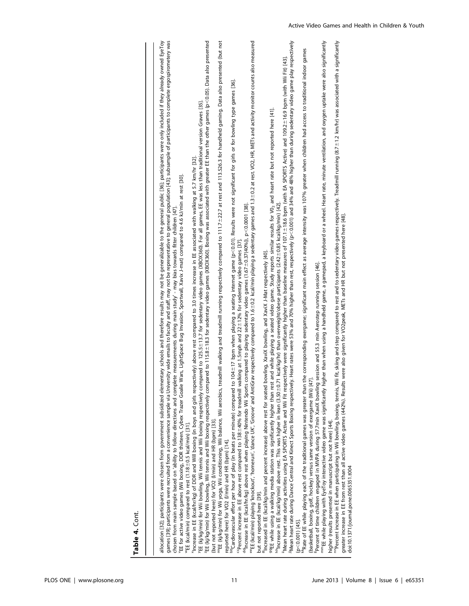Table 4. Cont. Table 4. Cont.

allocation [32]; participants were chosen from government subsidized elementary schools and therefore results may not be generalizable to the general public [36]; participants were only included if they already owned EyeTo allocation [32]; participants were chosen from government subsidized elementary schools and therefore results may not be generalizable to the general public [36]; participants were only included if they already owned EyeTo games [39]; participants were recruited from a convenience sample via University wide emails to faculty and staff, may not be representative to general population [43]; subsample of participants to complete ergospirometery games [39]; participants were recruited from a convenience sample via University wide emails to faculty and staff, may not be representative to general population [43]; subsample of participants to complete ergospirometery °EE (kj/kg/min) for Wii bowling, Wii tennis and Wii boxing respectively compared to 115.8±18.3 for sedentary video games (XBOX360). Boxing was associated with greater EE than the other games (p<0.05). Data also presented ,0.05). Data also presented <sup>as</sup>EE (kj/kg/min) for Wii yoga, Wii conditioning, Wii balance, Wii aerobics, treadmill walking and treadmill running respectively compared to 11.7±22.7 at rest and 113.526.3 for handheld gaming. Data also presented (but  $^{28}$ EE (kj/kg/min) for Wii yoga, Wii conditioning, Wii balance, Wii aerobics, treadmill walking and treadmill running respectively compared to 111.7±22.7 at rest and 113.526.3 for handheld gaming. Data also presented (b ee [kcal/min) playing 'knockout', 'homerun', 'dance UK', 'Groove' and AntiGrav respectively compared to 1.6±0.2 kcal/min playing a sedentary games and 1.3±0.2 at rest. VO2, HR, METs and activity monitor counts also measure "EE (kcal/min) playing 'knockout', 'homerun', 'dance UK', 'Groove' and AntiGrav respectively compared to 1.6±0.2 kcal/min playing a sedentary games and 1.3±0.2 at rest. VO2, HR, METs and activity monitor counts also meas Mean heart rate during Dance Central and Kinect Sports Boxing respectively. Heart rates were 53% and 70% higher than rest, respectively (p<0.001) and 34% and 48% higher than during sedentary video game play respectively  $<$ 0.001) and 34% and 48% higher than during sedentary video game play respectively ""EE while playing with EyeToy interactive video game was significantly higher than when using a handheld game, a gamepad, a keyboard or a wheel. Heart rate, minute ventlation, and oxygen uptake were also significantly mmEE while playing with EyeToy interactive video game was significantly higher than when using a handheld game, a gamepad, a keyboard or a wheel. Heart rate, minute ventilation, and oxygen uptake were also significantly "Percent increase in EE when participating in Will bowling, boxing, tennis, Will fit, skiing and step compared to rest and to sedentary video games respectively. Treadmill rumning (8.7±1.2 km/hr) was associated with a sign "Percent increase in EE when participating in Wii Wii Wii Wii Wii fully Wii fit, skiing and step compared to rest and to sedentary video games respectively. Treadmill ruming (8.7±1.2 km/hr) was associated with a significan (p<0.001) [45].<br>"Rate of EE while playing each of the traditional games was greater than the corresponding exergame; significant main effect as average intensity was 107% greater when children had access to traditional ind k Rate of EE while playing each of the traditional games was greater than the corresponding exergame; significant main effect as average intensity was 107% greater when children had access to traditional indoor games Mean heart rate during activities using EA SPORTS Active and Will Fit respectively were significantly higher than baseline measures of 107.1±18.6 bpm (with EA SPORTS Active) and 109.2±16.9 bpm (with Will Fit) [43]. il Mean heart rate during activities using EA SPORTS Active and Wii Fit respectively were significantly higher than baseline measures of 107.1±18.6 bpm (with EA SPORTS Active) and 109.2±16.9 bpm (with Wii Fit) [43]. <sup>bb</sup>Gardiovascular effort per hour of play (in beats per minute) compared to 104±17 bpm when playing a seating internet game (p<0.01). Results were not significant for girls or for bowling type games [36]  $<$ 0.01). Results were not significant for girls or for bowling type games [36]. "EE for active video games (Wii boxing, DDR thirteen, Cybex Trazer Goalie Wars, LightSpace Bug Invasion, Sportwall, Xavix J-mat) compared to 4.6 kJ/min at rest [30].<br>"EE (kcal/min) compared to rest (1.18±0.5 kcal/min) [3 FE (kJ/kg/min) for Wii bowling, Wii tennis and Wii boxing respectively compared to 125.5±13.7 for sedentary video games (XBOX360). For all games, EE was less than traditional version Graves [35]. 99EE while using a walking media station was significantly higher than rest and while playing a seated video game. Study reports similar results for V0<sub>2</sub> and heart rate but not reported here [41].  $^{99}$ EE while using a walking media station was significantly higher than rest and while playing a seated video game. Study reports similar results for V0<sub>2</sub> and heart rate but not reported here [41]. 'Increase in EE (kcal/hr/kg) of DDR and Will boxing (in boys and girls respectively) above rest compared to 3.0 times increase in EE associated with walking at 5.7 km/hr [32] for active video games (Wii boxing, DDR thirteen, Cybex Trazer Goalie Wars, LightSpace Bug Invasion, Sportwall, Xavix J-mat) compared to 4.6 kJ/min at rest [30]. harcease in EE (kcal/kg/min) above rest. This was higher in lean (3.50±0.71 kcal/kg/hr) than overweight/obese participants (2.42±0.85 kcal/kg/min) [42]. hhIncrease in EE (kcal/kg/min) above rest. This was higher in lean (3.5060.71 kcal/kg/hr) than overweight/obese participants (2.4260.85 kcal/kg/min) [42]. <sup>dd</sup>Increase in EE (kcal/hr/kg) above rest when playing Nintendo Wii Sports compared to playing sedentary video games (1.67±0.37(40%)), p<0.0001 [38]  $<$  0.0001 [38]. chosen from main sample based on 'ability to follow directions and complete measurements during main study - may bias towards fitter children [47]. chosen from main sample based on 'ability to follow directions and complete measurements during main study' - may bias towards fitter children [47]. greater increase in EE from rest than all active video games (442%). Results were also given for VO2peak, METs and HR but not presented here [48]. greater increase in EE from rest than all active video games (442%). Results were also given for VO2peak, METs and HR but not presented here [48]  $^{4d}$ lncrease in EE (kcal/hr/kg) above rest when playing Nintendo Wii Sports compared to playing sedentary video games (1.67±0.37(40%)), p jjMean heart rate during Dance Central and Kinect Sports Boxing respectively. Heart rates were 53% and 70% higher than rest, respectively (p  $\frac{c_{\rm P} }{c_{\rm P} c_{\rm P} c_{\rm P} c_{\rm P} c_{\rm P} c_{\rm P} c_{\rm P} c_{\rm P} c_{\rm P} c_{\rm P} c_{\rm P} c_{\rm P} c_{\rm P} c_{\rm P} c_{\rm P} c_{\rm P} c_{\rm P} c_{\rm P} c_{\rm P} c_{\rm P} c_{\rm P} c_{\rm P} c_{\rm P} c_{\rm P} c_{\rm P} d_{\rm P} c_{\rm P} d_{\rm P} c_{\rm P} d_{\rm P} c_{\rm P} d_{\rm P} c_{\rm P} d_{\rm P} c_{\rm P$  $\mathrm{^{ce}Percent}$  increase in EE above rest compared to 138 $\pm 40\%$  for treadmill walking at 1.5mph and 22 $\pm 12\%$  for sedentary video games [37]. ffIncreased in EE (kcal/kg/min and percent increase) above rest for seated bowling, XaviX bowling, and XaviX J-Mat respectively [40]. <sup>ff</sup>increased in EE (kcal/kg/min and percent increase) above rest for seated bowling, XaviX bowling, and XaviX J-Mat respectively [40]  $^{bb}$ Cardiovascular effort per hour of play (in beats per minute) compared to 104±17 bpm when playing a seating internet game (p llPercent of time children engaged in MVPA during 57.7min XaviX bowling session and 55.3 min Aerostep running session [46]. Percent of time children engaged in MVPA during 57.7min XavIX bowling session and 55.3 min Aerostep running session [46]. (basketball, boxing, golf, hockey) versus same version of exergame (Wii) [47]. (basketball, boxing, golf, hockey) versus same version of exergame (Wii) [47]. but not reported here) for VO2 (I/min) and HR (bpm) [33]. (but not reported here) for VO2 (l/min) and HR (bpm) [33]. higher (results presented in manuscript but not here) [44]. higher (results presented in manuscript but not here) [44]. "EE (kcal/min) compared to rest (1.18±0.5 kcal/min) [31]. reported here) for VO2 (I/min) and HR (bpm) [14]. reported here) for VO2 (l/min) and HR (bpm) [14]. [39]. but not reported here [39]. but not reported here  $<$  0.001) [45]. 出

Active Video Games and Health in Children & Youth

doi:10.1371/journal.pone.0065351.t004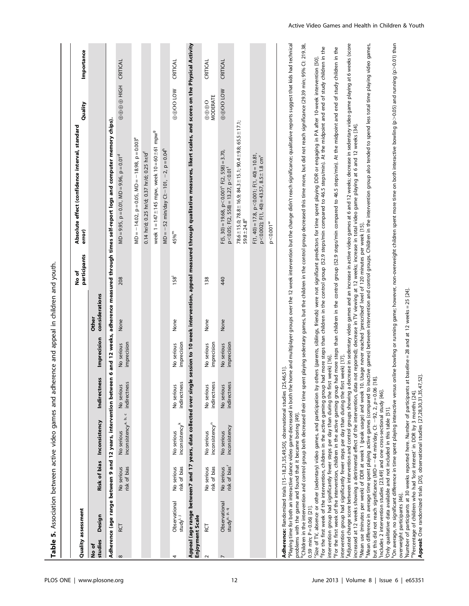| <b>Table</b>             |                                                               |                             | 5. Association between active video games and adh                                                                                                                                                                                                                                                                                                                                                                                                                                                                                                                                                                                                                                                                                                                                                                                                                                                                                                                                                                                                                                                             |                            |                           | erence and appeal in children and youth.                                                                                                                                                                     |                       |                                                                                                                                                                                                                                                                                                                                                                                                                                                                                                                                                                                                                                                                                                                                                                                                                                                                                                                                                                                                                                                                                                                                                                                                                                                                                                                                                                                                                                                                                                                                                                                                                                                                                                                                                                         |                  |            |
|--------------------------|---------------------------------------------------------------|-----------------------------|---------------------------------------------------------------------------------------------------------------------------------------------------------------------------------------------------------------------------------------------------------------------------------------------------------------------------------------------------------------------------------------------------------------------------------------------------------------------------------------------------------------------------------------------------------------------------------------------------------------------------------------------------------------------------------------------------------------------------------------------------------------------------------------------------------------------------------------------------------------------------------------------------------------------------------------------------------------------------------------------------------------------------------------------------------------------------------------------------------------|----------------------------|---------------------------|--------------------------------------------------------------------------------------------------------------------------------------------------------------------------------------------------------------|-----------------------|-------------------------------------------------------------------------------------------------------------------------------------------------------------------------------------------------------------------------------------------------------------------------------------------------------------------------------------------------------------------------------------------------------------------------------------------------------------------------------------------------------------------------------------------------------------------------------------------------------------------------------------------------------------------------------------------------------------------------------------------------------------------------------------------------------------------------------------------------------------------------------------------------------------------------------------------------------------------------------------------------------------------------------------------------------------------------------------------------------------------------------------------------------------------------------------------------------------------------------------------------------------------------------------------------------------------------------------------------------------------------------------------------------------------------------------------------------------------------------------------------------------------------------------------------------------------------------------------------------------------------------------------------------------------------------------------------------------------------------------------------------------------------|------------------|------------|
|                          |                                                               |                             |                                                                                                                                                                                                                                                                                                                                                                                                                                                                                                                                                                                                                                                                                                                                                                                                                                                                                                                                                                                                                                                                                                               |                            |                           |                                                                                                                                                                                                              |                       |                                                                                                                                                                                                                                                                                                                                                                                                                                                                                                                                                                                                                                                                                                                                                                                                                                                                                                                                                                                                                                                                                                                                                                                                                                                                                                                                                                                                                                                                                                                                                                                                                                                                                                                                                                         |                  |            |
|                          | Quality assessment                                            |                             |                                                                                                                                                                                                                                                                                                                                                                                                                                                                                                                                                                                                                                                                                                                                                                                                                                                                                                                                                                                                                                                                                                               |                            |                           |                                                                                                                                                                                                              | participants<br>No of | Absolute effect (confidence interval, standard<br>error)                                                                                                                                                                                                                                                                                                                                                                                                                                                                                                                                                                                                                                                                                                                                                                                                                                                                                                                                                                                                                                                                                                                                                                                                                                                                                                                                                                                                                                                                                                                                                                                                                                                                                                                | Quality          | Importance |
| studies<br>No of         | Design                                                        |                             | Risk of bias Inconsistency                                                                                                                                                                                                                                                                                                                                                                                                                                                                                                                                                                                                                                                                                                                                                                                                                                                                                                                                                                                                                                                                                    | Indirectness               | Imprecision               | considerations<br>Other                                                                                                                                                                                      |                       |                                                                                                                                                                                                                                                                                                                                                                                                                                                                                                                                                                                                                                                                                                                                                                                                                                                                                                                                                                                                                                                                                                                                                                                                                                                                                                                                                                                                                                                                                                                                                                                                                                                                                                                                                                         |                  |            |
|                          |                                                               |                             | Adherence (age range between 9 and 12 years, intervention between 6 and 12 weeks,                                                                                                                                                                                                                                                                                                                                                                                                                                                                                                                                                                                                                                                                                                                                                                                                                                                                                                                                                                                                                             |                            |                           |                                                                                                                                                                                                              |                       | adherence measured through times self-report logs and computer memory chips).                                                                                                                                                                                                                                                                                                                                                                                                                                                                                                                                                                                                                                                                                                                                                                                                                                                                                                                                                                                                                                                                                                                                                                                                                                                                                                                                                                                                                                                                                                                                                                                                                                                                                           |                  |            |
| $\infty$                 | <b>RCT</b>                                                    | No serious<br>risk of bias  | No serious<br>inconsistency <sup>a, b, c</sup>                                                                                                                                                                                                                                                                                                                                                                                                                                                                                                                                                                                                                                                                                                                                                                                                                                                                                                                                                                                                                                                                | indirectness<br>No serious | No serious<br>imprecision | None                                                                                                                                                                                                         | 208                   | $MD = 9.95$ , $p = 0.01$ , $MD = 9.96$ , $p = 0.01d$                                                                                                                                                                                                                                                                                                                                                                                                                                                                                                                                                                                                                                                                                                                                                                                                                                                                                                                                                                                                                                                                                                                                                                                                                                                                                                                                                                                                                                                                                                                                                                                                                                                                                                                    | H9H ⊕⊕⊕          | CRITICAL   |
|                          |                                                               |                             |                                                                                                                                                                                                                                                                                                                                                                                                                                                                                                                                                                                                                                                                                                                                                                                                                                                                                                                                                                                                                                                                                                               |                            |                           |                                                                                                                                                                                                              |                       | $MD = -14.02$ , $p = 0.05$ , $MD = -18.98$ , $p = 0.003$ <sup>e</sup>                                                                                                                                                                                                                                                                                                                                                                                                                                                                                                                                                                                                                                                                                                                                                                                                                                                                                                                                                                                                                                                                                                                                                                                                                                                                                                                                                                                                                                                                                                                                                                                                                                                                                                   |                  |            |
|                          |                                                               |                             |                                                                                                                                                                                                                                                                                                                                                                                                                                                                                                                                                                                                                                                                                                                                                                                                                                                                                                                                                                                                                                                                                                               |                            |                           |                                                                                                                                                                                                              |                       | 0.14 hr/d; 0.25 hr/d; 0.37 hr/d; 0.25 hr/d                                                                                                                                                                                                                                                                                                                                                                                                                                                                                                                                                                                                                                                                                                                                                                                                                                                                                                                                                                                                                                                                                                                                                                                                                                                                                                                                                                                                                                                                                                                                                                                                                                                                                                                              |                  |            |
|                          |                                                               |                             |                                                                                                                                                                                                                                                                                                                                                                                                                                                                                                                                                                                                                                                                                                                                                                                                                                                                                                                                                                                                                                                                                                               |                            |                           |                                                                                                                                                                                                              |                       | week 1 = 147 $\pm$ 145 mpw, week 10 = 60 $\pm$ 61 mpw <sup>9</sup>                                                                                                                                                                                                                                                                                                                                                                                                                                                                                                                                                                                                                                                                                                                                                                                                                                                                                                                                                                                                                                                                                                                                                                                                                                                                                                                                                                                                                                                                                                                                                                                                                                                                                                      |                  |            |
|                          |                                                               |                             |                                                                                                                                                                                                                                                                                                                                                                                                                                                                                                                                                                                                                                                                                                                                                                                                                                                                                                                                                                                                                                                                                                               |                            |                           |                                                                                                                                                                                                              |                       | $MD = -52$ min/day $Cl:-101, -2, p=0.04h$                                                                                                                                                                                                                                                                                                                                                                                                                                                                                                                                                                                                                                                                                                                                                                                                                                                                                                                                                                                                                                                                                                                                                                                                                                                                                                                                                                                                                                                                                                                                                                                                                                                                                                                               |                  |            |
| 4                        | Observational<br>study <sup>i, j</sup>                        | risk of bias<br>No serious  | inconsistency <sup>k</sup><br>No serious                                                                                                                                                                                                                                                                                                                                                                                                                                                                                                                                                                                                                                                                                                                                                                                                                                                                                                                                                                                                                                                                      | indirectness<br>No serious | imprecision<br>No serious | None                                                                                                                                                                                                         | 158                   | 45% <sup>m</sup>                                                                                                                                                                                                                                                                                                                                                                                                                                                                                                                                                                                                                                                                                                                                                                                                                                                                                                                                                                                                                                                                                                                                                                                                                                                                                                                                                                                                                                                                                                                                                                                                                                                                                                                                                        | <b>MO1OO⊕⊕</b>   | CRITICAL   |
|                          | Enjoyment Scale                                               |                             |                                                                                                                                                                                                                                                                                                                                                                                                                                                                                                                                                                                                                                                                                                                                                                                                                                                                                                                                                                                                                                                                                                               |                            |                           |                                                                                                                                                                                                              |                       | Appeal (age range between7 and 17 years, data collected over single session to 10 week intervention, appeal measured through qualitative measures, likert scales, and scores on the Physical Activity                                                                                                                                                                                                                                                                                                                                                                                                                                                                                                                                                                                                                                                                                                                                                                                                                                                                                                                                                                                                                                                                                                                                                                                                                                                                                                                                                                                                                                                                                                                                                                   |                  |            |
| $\sim$                   | <b>PCT</b>                                                    | risk of bias<br>No serious  | inconsistency <sup>n</sup><br>No serious                                                                                                                                                                                                                                                                                                                                                                                                                                                                                                                                                                                                                                                                                                                                                                                                                                                                                                                                                                                                                                                                      | indirectness<br>No serious | imprecision<br>No serious | None                                                                                                                                                                                                         | 138                   |                                                                                                                                                                                                                                                                                                                                                                                                                                                                                                                                                                                                                                                                                                                                                                                                                                                                                                                                                                                                                                                                                                                                                                                                                                                                                                                                                                                                                                                                                                                                                                                                                                                                                                                                                                         | MODERATE<br>9⊕⊕  | CRITICAL   |
| $\overline{\phantom{a}}$ | Observational<br>study <sup>o, p, q</sup>                     | risk of bias"<br>No serious | inconsistency<br>No serious                                                                                                                                                                                                                                                                                                                                                                                                                                                                                                                                                                                                                                                                                                                                                                                                                                                                                                                                                                                                                                                                                   | indirectness<br>No serious | imprecision<br>No serious | None                                                                                                                                                                                                         | 440                   | $F(5, 30) = 19.68$ , $p < 0.001$ <sup>5</sup> $F(2, 558) = 3.70$<br>$p < 0.05$ ; F(2, 558) = 13.27, $p < 0.01$ <sup>e</sup>                                                                                                                                                                                                                                                                                                                                                                                                                                                                                                                                                                                                                                                                                                                                                                                                                                                                                                                                                                                                                                                                                                                                                                                                                                                                                                                                                                                                                                                                                                                                                                                                                                             | $MOD 100 \oplus$ | CRITICAL   |
|                          |                                                               |                             |                                                                                                                                                                                                                                                                                                                                                                                                                                                                                                                                                                                                                                                                                                                                                                                                                                                                                                                                                                                                                                                                                                               |                            |                           |                                                                                                                                                                                                              |                       | $78.6 \pm 15.0$ ; $78.8 \pm 16.9$ ; $84.3 \pm 15.1$ ; $90.4 \pm 9.8$ ; $65.5 \pm 17.1$ ;<br>$59.8 + 24.8^{\circ}$                                                                                                                                                                                                                                                                                                                                                                                                                                                                                                                                                                                                                                                                                                                                                                                                                                                                                                                                                                                                                                                                                                                                                                                                                                                                                                                                                                                                                                                                                                                                                                                                                                                       |                  |            |
|                          |                                                               |                             |                                                                                                                                                                                                                                                                                                                                                                                                                                                                                                                                                                                                                                                                                                                                                                                                                                                                                                                                                                                                                                                                                                               |                            |                           |                                                                                                                                                                                                              |                       | $F(1, 40) = 17.8$ , $p < 0.001$ ; $F(1, 40) = 10.81$ ,<br>$p < 0.002$ ; F(1, 40) = 43.57, 8.5 ± 1.8 cm <sup>v</sup>                                                                                                                                                                                                                                                                                                                                                                                                                                                                                                                                                                                                                                                                                                                                                                                                                                                                                                                                                                                                                                                                                                                                                                                                                                                                                                                                                                                                                                                                                                                                                                                                                                                     |                  |            |
|                          |                                                               |                             |                                                                                                                                                                                                                                                                                                                                                                                                                                                                                                                                                                                                                                                                                                                                                                                                                                                                                                                                                                                                                                                                                                               |                            |                           |                                                                                                                                                                                                              |                       | p<0.001 <sup>w</sup>                                                                                                                                                                                                                                                                                                                                                                                                                                                                                                                                                                                                                                                                                                                                                                                                                                                                                                                                                                                                                                                                                                                                                                                                                                                                                                                                                                                                                                                                                                                                                                                                                                                                                                                                                    |                  |            |
|                          | overweight participants [46].<br>$0.59$ min; $P = 0.06$ [21]. |                             | intervention group had significantly fewer steps per day than during the first week) [17].<br>intervention group had significantly fewer steps per day than during the first week) [16].<br>Adherence: Randomized trials [15-18,21,35,49,50], observational studies [25,46,51]<br><sup>ap</sup> laying time for both an interactive dance video game decreased in both the<br><sup>d</sup> For the first week of the intervention, children in the active gaming group<br>but this did not reach significance (MD = $-44$ min/day, CI: $-92$ , 2, $p = 0.06$ [<br>On average, no significant difference in time spent playing interactive versus<br>Size of TV, absence or other (sedentary) video games, and participation by<br>Number of participants at 30 weeks reported here. Number of participants<br>Includes 2 intervention studies [23,49] and one cross-sectional study [46].<br>"Percentage of children who had 'lost interest' in DDR by 3 months [24].<br>Only qualitative data available and not included in this table [51].<br>problems with the game and found that it became boring [49]. | 18].                       |                           | <sup>9</sup> Mean use (minutes per week) of DDR at week 1 (peak usage) and week 10. Usage never reached 'prescribed' level of 120 minutes per week [15].<br>at baseline = $28$ and at 12 weeks = $25$ $[24]$ |                       | Adjusted change score between intervention and control groups showing a decrease in sedentary video games and an increase in active video games at 6 and 12 weeks; decrease in sedentary video game playing at 6 weeks (score<br>online bowling or running game; however, non-overweight children spent more time on both interactive bowling (p>0.05) and running (p>0.01) than<br>home and multiplayer groups over the 12 week intervention but the change didn't reach significance; qualitative reports suggest that kids had technical<br>Mean difference in average time spent playing active games (compared to inactive games) between intervention and control groups. Children in the intervention group also tended to spend less total time playing video games,<br><sup>b</sup> Children in the intervention and control group both decreased their time spent playing sedentary games, but the children in the control group decreased this time more, but did not reach significance (29.39 min; 95% CI:<br>had more steps than children in the control group (52.9 steps/min compared to 46.5 steps/min). At the midpoint and end of study children in the<br><sup>e</sup> For the first week of the intervention, children in the active gaming group had more steps than children in the control group (52.9 steps/min compared to 46.5 steps/min). At the midpoint and of study children in the<br>others (parents, siblings, friends) were not significant predictors for time spent playing DDR or engaging in PA after 10-week intervention [50].<br>increased at 12 weeks showing a detrimental effect of the intervention, data not reported); decrease in TV viewing at 12 weeks; increase in total video game playing at 6 and 12 weeks [34]. |                  |            |
|                          |                                                               |                             | Appeal: One randomized trials [20], observational studies [27,28,30,31,35,47,52].                                                                                                                                                                                                                                                                                                                                                                                                                                                                                                                                                                                                                                                                                                                                                                                                                                                                                                                                                                                                                             |                            |                           |                                                                                                                                                                                                              |                       |                                                                                                                                                                                                                                                                                                                                                                                                                                                                                                                                                                                                                                                                                                                                                                                                                                                                                                                                                                                                                                                                                                                                                                                                                                                                                                                                                                                                                                                                                                                                                                                                                                                                                                                                                                         |                  |            |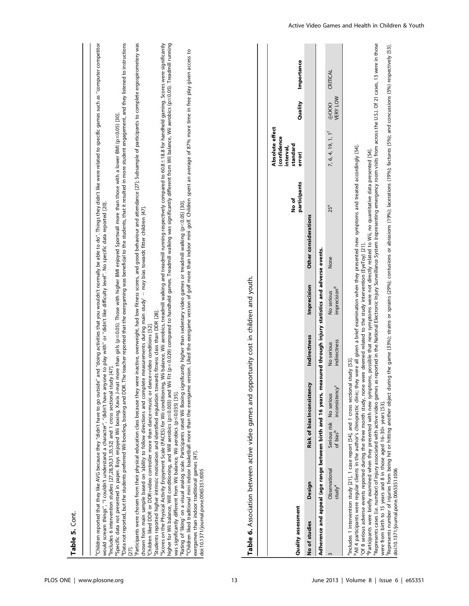| Ū      |
|--------|
|        |
| L<br>r |
| d<br>J |
| r      |
| t      |
|        |

| "Children reported that they like AVG because they"didn't have to go outside" and "doing activities that you wouldn't normally be able to do". Things they didn't like were related to specific games such as "computer compet<br>would scream things", "I couldn't understand a character", "didn't have anyone to play with" or "didn't like difficulty level". No specific data reported [20].                                                                                                                                                    |
|------------------------------------------------------------------------------------------------------------------------------------------------------------------------------------------------------------------------------------------------------------------------------------------------------------------------------------------------------------------------------------------------------------------------------------------------------------------------------------------------------------------------------------------------------|
| "Data not reported, but the students preferred Wii bowling, boxing and DDR. The teacher reported that the exergaming was beneficial to the students, that it resulted in more student engagement, and they listened to instruc<br>$^{\rm E}$ Specific data not presented in paper. Boys enjoyed Wii boxing, Xavix J-mat more than girls (p≤0.05). Those with higher BMI enjoyed Sportwall more than those with a lower BMI (p≤0.05) [30].<br>, [47].<br><sup>o</sup> Includes 6 intervention studies [27,28,30,31,35,52] and 1 cross sectional study |
| Participants were chosen from their physical education class because they were inactive, overweight, had low fitness scores, and good behaviour and attendance [27]; Subsample of participants to complete ergospirometery was<br>measurements during main study' - may bias towards fitter children [47].<br>chosen from main sample based on 'ability to follow directions and complete                                                                                                                                                            |
| 'Students reported higher intrinsic motivation and identified requlation towards fitness class than DDR [28].<br><sup>s</sup> Children liked DDR or DDR+video controller more than dance+music or dance+video conditions [52].                                                                                                                                                                                                                                                                                                                       |
| Vii balance, Wii aerobics, treadmill walking and treadmill running respectively compared to 60.8±18.8 for handheld gaming. Scores were significantly<br>it (p = 0.029) compared to handheld games. Treadmill walking was significantly different from Wii balance, Wii aerobics (p≤0.05). Treadmill running<br>higher for Wii balance, Will conditioning, and Will aerobics (p $\leq$ 0.003) and Wii I<br>"Scores on the Physical Activity Enjoyment Scale (PACES) for Wil conditioning, \                                                           |
| "Rating of 'liking' on a visual analog scale. Participants rated Wii Boxing significantly higher than sedentary video games or treadmill walking (p<0.05) [30].<br>was significantly different from Wii balance, Wii aerobics (p < 0.035) [35].                                                                                                                                                                                                                                                                                                      |
| "Children liked traditional mini indoor basketball more than the exergame version be exergame version of golf more than indoor mini golf. Children spent an average of 87% more time play given access to<br>exergames than indoor traditional games [47].                                                                                                                                                                                                                                                                                           |
| doi:10.1371/journal.pone.0065351.t005                                                                                                                                                                                                                                                                                                                                                                                                                                                                                                                |

|      | ]<br>-                                                                            |
|------|-----------------------------------------------------------------------------------|
|      | I                                                                                 |
|      |                                                                                   |
|      |                                                                                   |
|      |                                                                                   |
|      |                                                                                   |
|      | ֖֖֖֖֚֚֚֚֚֚֬                                                                       |
|      |                                                                                   |
|      |                                                                                   |
|      |                                                                                   |
|      |                                                                                   |
|      |                                                                                   |
|      |                                                                                   |
|      |                                                                                   |
| isan |                                                                                   |
|      |                                                                                   |
|      |                                                                                   |
|      |                                                                                   |
|      |                                                                                   |
|      |                                                                                   |
|      |                                                                                   |
|      |                                                                                   |
|      | י<br>גוני הוני הוני הוני הוני<br>ג                                                |
|      |                                                                                   |
|      |                                                                                   |
|      |                                                                                   |
|      |                                                                                   |
|      |                                                                                   |
|      |                                                                                   |
|      |                                                                                   |
|      | $\vdots$                                                                          |
|      |                                                                                   |
|      |                                                                                   |
|      |                                                                                   |
|      |                                                                                   |
|      |                                                                                   |
|      |                                                                                   |
|      |                                                                                   |
|      |                                                                                   |
|      |                                                                                   |
|      |                                                                                   |
|      | ֘֒                                                                                |
|      |                                                                                   |
|      |                                                                                   |
|      |                                                                                   |
|      |                                                                                   |
|      | ֘֝֬                                                                               |
|      |                                                                                   |
|      | ֧֧֧֧֧֧֧֧ׅ֧֧ׅ֧֧֧֧֧֧֧֧֧֧֧֚֚֚֚֚֚֚֚֚֚֚֚֚֚֚֚֚֚֚֚֚֝֝֓֝֬֝֬֝֬֝֬֝֬֜֓֓֝֬֜֓֝֬֝֬֝֬֝֬֝֬֝֬֝֬֝֬֬ |

| Quality assessment |                                     |                                                                                                                                                                                                                                                                                                                                                                                                                                                                                                                                                                                                             |                            |                                        |                      | No of        | Absolute effect<br>(confidence<br>standard<br>interval, | Quality         |            |
|--------------------|-------------------------------------|-------------------------------------------------------------------------------------------------------------------------------------------------------------------------------------------------------------------------------------------------------------------------------------------------------------------------------------------------------------------------------------------------------------------------------------------------------------------------------------------------------------------------------------------------------------------------------------------------------------|----------------------------|----------------------------------------|----------------------|--------------|---------------------------------------------------------|-----------------|------------|
| No of studies      | Design                              | <b>Risk of bias Inconsistency</b>                                                                                                                                                                                                                                                                                                                                                                                                                                                                                                                                                                           | <b>Indirectness</b>        | Imprecision                            | Other considerations | participants | error)                                                  |                 | Importance |
|                    |                                     | Adherence and appeal (age range between birth and 16 years, measured through injury statistics and adverse events.                                                                                                                                                                                                                                                                                                                                                                                                                                                                                          |                            |                                        |                      |              |                                                         |                 |            |
|                    | Observational<br>study <sup>a</sup> | of bias <sup>b</sup> inconsistency <sup>c</sup><br>Serious risk No serious                                                                                                                                                                                                                                                                                                                                                                                                                                                                                                                                  | indirectness<br>No serious | imprecision <sup>a</sup><br>No serious | None                 | $25^e$       | 7, 6, 4, 19, 1, 1 <sup>†</sup>                          | 000<br>VERY LOW | CRITICAL   |
|                    |                                     | PAII 4 participants were regular clients in the author's chiropractic clinic; they were all given a brief examination when they presented new symptoms and treated accordingly [54].<br>"Participants were briefly examined when they presented with new symptoms, possible that new symptoms were not directly related to Wii, no quantitative data presented [54].<br>"Of 8 serious adverse events reported during the three month study, none were deemed related to the study intervention (EyeToy) [21].<br><sup>a</sup> Includes 1 intervention study [21], 1 case report [54], and 1 cross sectional | study [53].                |                                        |                      |              |                                                         |                 |            |

<sup>-p</sup>articipants were briefly examined when they presented with new symptoms, possible that new symptoms were not directly related to Wii, no quantitative data presented [54].<br>"Represents cases (i.e. number) of injury assoc "Participants were briefly examined when they presented with new symptoms, possible that new symptoms were not directly related to Wii, no quantitative data presented [54].<br>"Represents cases (i.e. number) of injury associa were from birth to 15 years and 8 in those aged 16–30+ years [53].<br>Represents number of injuries from being hit or hitting another object during the game (33%); strains or sprains (29%); contusions (19%); lacerations (19%)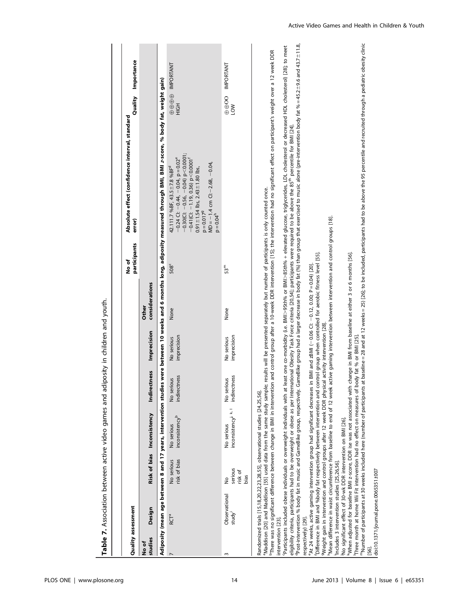|                                           |                                                                                                                                                      |                                             | Table 7. Association between active video games and adi                                                                                                                                                                                                                                                                                       |                            | iposity in children and youth. |                                                                                                                                                                                                                                                                                                                                                                                                                                                                                                                                                                        |                            |                                                                                                                                                                                                                                                                                                                                                                                                                                                                                                                                                                                                                                                                                                                                                                                                                                                                                                                                                                                                                                                                                                                                                                                                                                                                |                                     |  |
|-------------------------------------------|------------------------------------------------------------------------------------------------------------------------------------------------------|---------------------------------------------|-----------------------------------------------------------------------------------------------------------------------------------------------------------------------------------------------------------------------------------------------------------------------------------------------------------------------------------------------|----------------------------|--------------------------------|------------------------------------------------------------------------------------------------------------------------------------------------------------------------------------------------------------------------------------------------------------------------------------------------------------------------------------------------------------------------------------------------------------------------------------------------------------------------------------------------------------------------------------------------------------------------|----------------------------|----------------------------------------------------------------------------------------------------------------------------------------------------------------------------------------------------------------------------------------------------------------------------------------------------------------------------------------------------------------------------------------------------------------------------------------------------------------------------------------------------------------------------------------------------------------------------------------------------------------------------------------------------------------------------------------------------------------------------------------------------------------------------------------------------------------------------------------------------------------------------------------------------------------------------------------------------------------------------------------------------------------------------------------------------------------------------------------------------------------------------------------------------------------------------------------------------------------------------------------------------------------|-------------------------------------|--|
|                                           |                                                                                                                                                      |                                             |                                                                                                                                                                                                                                                                                                                                               |                            |                                |                                                                                                                                                                                                                                                                                                                                                                                                                                                                                                                                                                        |                            |                                                                                                                                                                                                                                                                                                                                                                                                                                                                                                                                                                                                                                                                                                                                                                                                                                                                                                                                                                                                                                                                                                                                                                                                                                                                |                                     |  |
|                                           | Quality assessment                                                                                                                                   |                                             |                                                                                                                                                                                                                                                                                                                                               |                            |                                |                                                                                                                                                                                                                                                                                                                                                                                                                                                                                                                                                                        | participants<br>a<br>No of | Absolute effect (confidence interval, standard<br>error)                                                                                                                                                                                                                                                                                                                                                                                                                                                                                                                                                                                                                                                                                                                                                                                                                                                                                                                                                                                                                                                                                                                                                                                                       | Importance<br>Quality               |  |
| studies<br>No of                          | Design                                                                                                                                               | <b>Risk of bias</b>                         | Inconsistency                                                                                                                                                                                                                                                                                                                                 | <b>Indirectness</b>        | Imprecision                    | considerations<br>Other                                                                                                                                                                                                                                                                                                                                                                                                                                                                                                                                                |                            |                                                                                                                                                                                                                                                                                                                                                                                                                                                                                                                                                                                                                                                                                                                                                                                                                                                                                                                                                                                                                                                                                                                                                                                                                                                                |                                     |  |
|                                           |                                                                                                                                                      |                                             | Adiposity (mean age between 8 and 17 years, intervention studies                                                                                                                                                                                                                                                                              |                            |                                |                                                                                                                                                                                                                                                                                                                                                                                                                                                                                                                                                                        |                            | were between 10 weeks and 6 months long, adiposity measured through BMI, BMI z-score, % body fat, weight gain)                                                                                                                                                                                                                                                                                                                                                                                                                                                                                                                                                                                                                                                                                                                                                                                                                                                                                                                                                                                                                                                                                                                                                 |                                     |  |
|                                           | RCT <sup>a</sup>                                                                                                                                     | risk of bias<br>No serious                  | inconsistency <sup>b</sup><br>No serious                                                                                                                                                                                                                                                                                                      | indirectness<br>No serious | imprecision<br>No serious      | None                                                                                                                                                                                                                                                                                                                                                                                                                                                                                                                                                                   | $508^c$                    | $-0.30$ (Cl: $-0.56$ , $-0.04$ ) p<0.0001;<br>$-0.41$ (Cl: $-1.19$ , 0.36) p<0.0001 <sup>f</sup><br>$-0.24$ Cl: $-0.44$ , $-0.04$ , $p = 0.02$ <sup>e</sup><br>$MD = -1.4$ cm $Cl:-2.68$ , $-0.04$ ,<br>$42.111.7$ %BF, $43.5 \pm 7.8$ %BF <sup>d</sup><br>$0.91 \pm 1.54$ lbs, $2.43 \pm 1.80$ lbs,<br>$p = 0.0179$<br>$p = 0.04^{h}$                                                                                                                                                                                                                                                                                                                                                                                                                                                                                                                                                                                                                                                                                                                                                                                                                                                                                                                         | H<br>A<br>⊕⊕⊕<br>H <sub>O</sub> H   |  |
| $\sim$                                    | Observational<br>study <sup>1</sup>                                                                                                                  | serious<br>risk of<br>bias<br>$\frac{1}{2}$ | inconsistency $^{j,k,\,l}$<br>No serious                                                                                                                                                                                                                                                                                                      | indirectness<br>No serious | imprecision<br>No serious      | None                                                                                                                                                                                                                                                                                                                                                                                                                                                                                                                                                                   | 53 <sup>m</sup>            |                                                                                                                                                                                                                                                                                                                                                                                                                                                                                                                                                                                                                                                                                                                                                                                                                                                                                                                                                                                                                                                                                                                                                                                                                                                                | <b>IMPORTANT</b><br>$\oplus$<br>LOW |  |
| respectively) [29].<br>intervention [23]. | No significant effect of 30-wk DDR intervention on BMI [26].<br>Includes 3 intervention studies [25,26,56].<br>doi:10.1371/journal.pone.0065351.t007 |                                             | Three month at home Wii Fit intervention had no effect on measures of body fat % or BMI [25].<br><sup>a</sup> Maddison [20] and Maddison [55] used data from the same study sample;<br>When adjusted for baseline BMI z-score, DDR ise was not associated with<br>Randomized trials [15,18,20,22,23,28,55], observational studies [24,25,56]. |                            |                                | °Weight gain in intervention and control groups after 12 week DDR physical activity intervention [28].<br>"Mean difference in waist circumference from baseline to end of 12 week active gaming intervention between intervention<br>Difference in BMI and %body fat respectively between intervention and control group when controlled for aerobic fitness level [55].<br>change in BMI from baseline at either 3 or 6 months [56].<br>"At 24 weeks, active gaming intervention group had significant decreases in BMI and zBMI (-0.06 C1: -0.12, 0.00; P=0.04) [20] |                            | "Number of participants at 30 weeks included here (number of participants at baseline = 28 and at 12 weeks = 25) [26]; to be included, participants had to be above the 95 percentile and recruited through a pediatric obesit<br><sup>a</sup> post-intervention % body fat in music and GameBike group, respectively. GameBike group had a larger decrease in body fat (%) than group that exercised to music alone (pre-intervention body fat %=45.2±9.6 and 43.7±11.8,<br>'Participants included obese individuals or overweight individuals with at least one co-morbidity (i.e. BMI>95th% + BMI>95th% + elevated glucose, triglycerides, LDL cholesterol or decreased HDL cholesterol) [28]; to meet<br><sup>b</sup> There was no significant difference between change in BMI in intervention and control group after a 10-week DDR intervention [15]; the intervention had no significant effect on participant's weight over a 12 week DDR<br>eligibility criteria, participants had to be overweight or obese as per International Obesity Task Force criteria [20,54]; participants were required to be above the 85 <sup>th</sup> percentile for BMI [24].<br>results will be presented separately but number of participants is only counted once. |                                     |  |
|                                           |                                                                                                                                                      |                                             |                                                                                                                                                                                                                                                                                                                                               |                            |                                |                                                                                                                                                                                                                                                                                                                                                                                                                                                                                                                                                                        |                            |                                                                                                                                                                                                                                                                                                                                                                                                                                                                                                                                                                                                                                                                                                                                                                                                                                                                                                                                                                                                                                                                                                                                                                                                                                                                |                                     |  |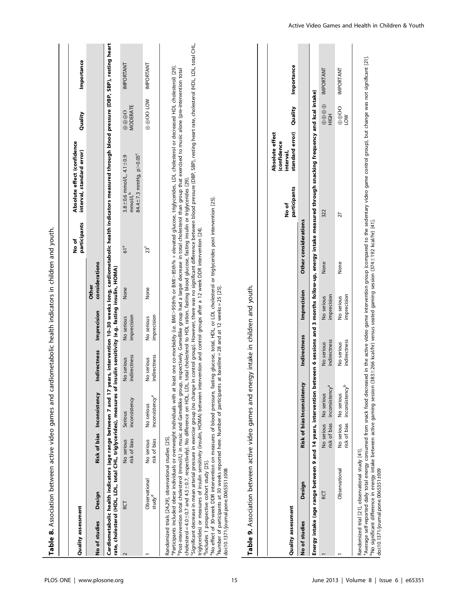| Quality assessment |                                                                                                                                                                                                                                                                                                                                                                                                                                                                                                                                                                                                                                                                                                                 |                            |                                          |                                                  |                           |                                | participants<br>No of | Absolute effect (confidence<br>interval, standard error)                                                                                                                                                                                                                                                                                                                                                                                                                                                                                                                                                        | Quality                                                             | Importance |
|--------------------|-----------------------------------------------------------------------------------------------------------------------------------------------------------------------------------------------------------------------------------------------------------------------------------------------------------------------------------------------------------------------------------------------------------------------------------------------------------------------------------------------------------------------------------------------------------------------------------------------------------------------------------------------------------------------------------------------------------------|----------------------------|------------------------------------------|--------------------------------------------------|---------------------------|--------------------------------|-----------------------|-----------------------------------------------------------------------------------------------------------------------------------------------------------------------------------------------------------------------------------------------------------------------------------------------------------------------------------------------------------------------------------------------------------------------------------------------------------------------------------------------------------------------------------------------------------------------------------------------------------------|---------------------------------------------------------------------|------------|
| No of studies      | Design                                                                                                                                                                                                                                                                                                                                                                                                                                                                                                                                                                                                                                                                                                          |                            | Risk of bias Inconsistency               | <b>Indirectness</b>                              | Imprecision               | considerations<br><b>Other</b> |                       |                                                                                                                                                                                                                                                                                                                                                                                                                                                                                                                                                                                                                 |                                                                     |            |
|                    | rate, cholesterol (HDL, LDL, total CHL, triglycerides), measures of                                                                                                                                                                                                                                                                                                                                                                                                                                                                                                                                                                                                                                             |                            |                                          | insulin sensitivity (e.g. fasting insulin, HOMA) |                           |                                |                       | Cardiometabolic health indicators (age range between 7 and 17 years, intervention 10–30 weeks long, cardiometabolic health indicators measured through blood pressure (DBP, SBP), resting heart                                                                                                                                                                                                                                                                                                                                                                                                                 |                                                                     |            |
|                    | <b>NO</b>                                                                                                                                                                                                                                                                                                                                                                                                                                                                                                                                                                                                                                                                                                       | risk of bias<br>No serious | inconsistency<br>Serious                 | indirectness<br>No serious                       | imprecision<br>No serious | None                           | 61 <sup>a</sup>       | 84.4 $\pm$ 7.3 mmHg, p $>$ 0.05°<br>3.8 $\pm$ 0.6 mmol/L, 4.1 $\pm$ 0.9<br>mmol/L <sup>b</sup>                                                                                                                                                                                                                                                                                                                                                                                                                                                                                                                  | MODERATE<br>$\begin{matrix} 0 \\ \oplus \oplus \oplus \end{matrix}$ | IMPORTANT  |
|                    | Observational<br>study <sup>a</sup>                                                                                                                                                                                                                                                                                                                                                                                                                                                                                                                                                                                                                                                                             | risk of bias<br>No serious | inconsistency <sup>e</sup><br>No serious | indirectness<br>No serious                       | imprecision<br>No serious | None                           | 23 <sup>f</sup>       |                                                                                                                                                                                                                                                                                                                                                                                                                                                                                                                                                                                                                 | MOT OO⊕⊕                                                            | IMPORTANT  |
|                    | cholesterol = 4.0±0.7 and 4.5±0.7, respectively). No difference on HDL, LDL, total cholesterol to HDL ration, fasting blood glucose, fasting insulin or triglycerides [29].<br>"No effect of 30-week DDR intervention on measures of blood pressure, fasting glucose, total, HDL, or LDL cholesterol or triglycerides post intervention [25].<br>triglycerides) or measures of insulin sensitivity (insulin, HOMA) between intervention and control groups after a 12 week DDR intervention [24].<br><sup>a</sup> Participants included obese individuals or overweight individuals with at<br>Randomized trials [24,29], observational studies [25].<br><sup>d</sup> Includes 1 prospective cohort study [25]. |                            |                                          |                                                  |                           |                                |                       | 'Significant decrease in mean arterial pressure in exercise group (no change in control group). However, there was no significant difference between blood pressure (DBP, SBP), resting heart rate, cholesterol (HDL, LDL, tot<br>least one co-morbidity (i.e. BMI>95th% or BMI>85th% + elevated glucose, triglycerides, LDL cholesterol or decreased HDL cholesterol) [29].<br><sup>p</sup> post-intervention total cholesterol (mmol/L) in music and GameBike group, respectively. GameBike group had a larger decrease in total cholesterol than group that exercised to music alone (pre-intervention total |                                                                     |            |
|                    | Number of participants at 30 weeks reported here. Number of participants at baseline = 28 and at 12 weeks = 25 [25]<br>doi:10.1371/journal.pone.0065351.t008                                                                                                                                                                                                                                                                                                                                                                                                                                                                                                                                                    |                            |                                          |                                                  |                           |                                |                       |                                                                                                                                                                                                                                                                                                                                                                                                                                                                                                                                                                                                                 |                                                                     |            |
|                    | Table 9. Association between active video games and energy intake in children and youth.                                                                                                                                                                                                                                                                                                                                                                                                                                                                                                                                                                                                                        |                            |                                          |                                                  |                           |                                |                       |                                                                                                                                                                                                                                                                                                                                                                                                                                                                                                                                                                                                                 |                                                                     |            |
|                    |                                                                                                                                                                                                                                                                                                                                                                                                                                                                                                                                                                                                                                                                                                                 |                            |                                          |                                                  |                           |                                |                       |                                                                                                                                                                                                                                                                                                                                                                                                                                                                                                                                                                                                                 |                                                                     |            |

| Quality assessment |                      |                                                                  |                            |                           |                                                                                                                                                                             | participants<br>No of | standard error) Quality<br>Absolute effect<br>(confidence<br>interval, |                                                                 | Importance |
|--------------------|----------------------|------------------------------------------------------------------|----------------------------|---------------------------|-----------------------------------------------------------------------------------------------------------------------------------------------------------------------------|-----------------------|------------------------------------------------------------------------|-----------------------------------------------------------------|------------|
| No of studies      | Design               | Risk of bias Inconsistency                                       | <b>Indirectness</b>        | <b>Imprecision</b>        | Other considerations                                                                                                                                                        |                       |                                                                        |                                                                 |            |
|                    |                      |                                                                  |                            |                           | Energy intake (age range between 9 and 14 years, intervention between 6 sessions and 3 months follow-up, energy intake measured through snacking frequency and kcal intake) |                       |                                                                        |                                                                 |            |
|                    | ξ                    | risk of bias inconsistency <sup>a</sup><br>No serious No serious | indirectness<br>No serious | imprecision<br>No serious | None                                                                                                                                                                        | 322                   |                                                                        | LNYLYOd Mi ⊕⊕⊕<br>공<br>모                                        |            |
|                    | <b>Observational</b> | risk of bias inconsistency <sup>b</sup><br>No serious No serious | indirectness<br>No serious | imprecision<br>No serious | None                                                                                                                                                                        | 27                    |                                                                        | $\oplus$ $\oplus$ $\oplus$ $\oplus$ $\oplus$ $\oplus$<br>$\geq$ |            |

Randomized trial [21], observational study [41].

Randomized trial [21], observational study [41].<br>®Average self-reported daily total energy consumed from snack food decreased in the active video group (compared to the sedentary video game control group), but change was °Average self-reported daily total energy consumed from snack food decreased in the active video game intervention group (compared to the sedentary video game control group), but change was not significant [21].<br>"No signi doi:10.1371/journal.pone.0065351.t009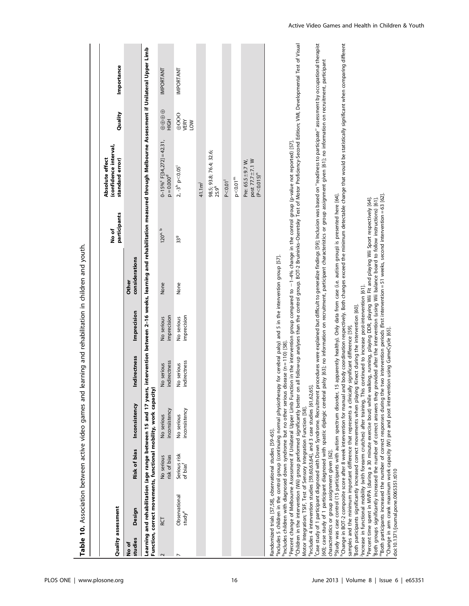|                  | - The Philosopher State (1992) - 1993 - 1994<br>- The Philosopher State (1993)                                                                                                                                                                                                                                                                                                                                                                                                   |                                      |                             |                            |                           |                                                                                      |                       |                                                                                                                                                                                                                                                                                                                                                                                                                                                                                                                                                                                                                                                                                                                                                                                                                                                                                               |                                                                      |            |
|------------------|----------------------------------------------------------------------------------------------------------------------------------------------------------------------------------------------------------------------------------------------------------------------------------------------------------------------------------------------------------------------------------------------------------------------------------------------------------------------------------|--------------------------------------|-----------------------------|----------------------------|---------------------------|--------------------------------------------------------------------------------------|-----------------------|-----------------------------------------------------------------------------------------------------------------------------------------------------------------------------------------------------------------------------------------------------------------------------------------------------------------------------------------------------------------------------------------------------------------------------------------------------------------------------------------------------------------------------------------------------------------------------------------------------------------------------------------------------------------------------------------------------------------------------------------------------------------------------------------------------------------------------------------------------------------------------------------------|----------------------------------------------------------------------|------------|
|                  |                                                                                                                                                                                                                                                                                                                                                                                                                                                                                  |                                      |                             |                            |                           |                                                                                      |                       |                                                                                                                                                                                                                                                                                                                                                                                                                                                                                                                                                                                                                                                                                                                                                                                                                                                                                               |                                                                      |            |
|                  | <b>Quality assessment</b>                                                                                                                                                                                                                                                                                                                                                                                                                                                        |                                      |                             |                            |                           |                                                                                      | participants<br>No of | (confidence interval,<br>Absolute effect<br>standard error)                                                                                                                                                                                                                                                                                                                                                                                                                                                                                                                                                                                                                                                                                                                                                                                                                                   | Quality                                                              | Importance |
| studies<br>No of | Design                                                                                                                                                                                                                                                                                                                                                                                                                                                                           | <b>Risk of bias</b>                  | Inconsistency               | ndirectness                | Imprecision               | considerations<br>Other                                                              |                       |                                                                                                                                                                                                                                                                                                                                                                                                                                                                                                                                                                                                                                                                                                                                                                                                                                                                                               |                                                                      |            |
|                  | Learning and rehabilitation (age range between 15 and 17 years,<br>Function, correct movements, functional mobility, work capacity)                                                                                                                                                                                                                                                                                                                                              |                                      |                             |                            |                           |                                                                                      |                       | intervention between 2–16 weeks, learning and rehabilitation measured through Melbourne Assessment if Unilateral Upper Limb                                                                                                                                                                                                                                                                                                                                                                                                                                                                                                                                                                                                                                                                                                                                                                   |                                                                      |            |
|                  | Ĕ                                                                                                                                                                                                                                                                                                                                                                                                                                                                                | risk of bias<br>No serious           | inconsistency<br>No serious | indirectness<br>No serious | imprecision<br>No serious | None                                                                                 | $120^{a. b}$          | $0-15\%$ <sup>c</sup> F[34,272] = 42.31,<br>$p = 0.000d$                                                                                                                                                                                                                                                                                                                                                                                                                                                                                                                                                                                                                                                                                                                                                                                                                                      | $\begin{array}{c} \oplus \\ \oplus \\ \oplus \end{array}$<br>공)<br>모 | IMPORTANT  |
|                  | Observational<br>studye                                                                                                                                                                                                                                                                                                                                                                                                                                                          | Serious risk<br>of bias <sup>f</sup> | inconsistency<br>No serious | ndirectness<br>No serious  | imprecision<br>No serious | None                                                                                 | 339                   | $2, -3h p < 0.05l$                                                                                                                                                                                                                                                                                                                                                                                                                                                                                                                                                                                                                                                                                                                                                                                                                                                                            | $\begin{matrix} 0 & 0 \\ 0 & 0 \end{matrix}$<br>VERY<br><b>NOT</b>   | IMPORTANT  |
|                  |                                                                                                                                                                                                                                                                                                                                                                                                                                                                                  |                                      |                             |                            |                           |                                                                                      |                       | $41.1m^{j}$                                                                                                                                                                                                                                                                                                                                                                                                                                                                                                                                                                                                                                                                                                                                                                                                                                                                                   |                                                                      |            |
|                  |                                                                                                                                                                                                                                                                                                                                                                                                                                                                                  |                                      |                             |                            |                           |                                                                                      |                       | 98.5; 93.8; 76.4; 32.6;<br>25.9 <sup>k</sup>                                                                                                                                                                                                                                                                                                                                                                                                                                                                                                                                                                                                                                                                                                                                                                                                                                                  |                                                                      |            |
|                  |                                                                                                                                                                                                                                                                                                                                                                                                                                                                                  |                                      |                             |                            |                           |                                                                                      |                       | P < 0.01                                                                                                                                                                                                                                                                                                                                                                                                                                                                                                                                                                                                                                                                                                                                                                                                                                                                                      |                                                                      |            |
|                  |                                                                                                                                                                                                                                                                                                                                                                                                                                                                                  |                                      |                             |                            |                           |                                                                                      |                       | $p<0.01^m$                                                                                                                                                                                                                                                                                                                                                                                                                                                                                                                                                                                                                                                                                                                                                                                                                                                                                    |                                                                      |            |
|                  |                                                                                                                                                                                                                                                                                                                                                                                                                                                                                  |                                      |                             |                            |                           |                                                                                      |                       | post 77.7 ± 7.1 W<br>Pre: 65.5 ± 9.7 W,<br>$(P < 0.015)^n$                                                                                                                                                                                                                                                                                                                                                                                                                                                                                                                                                                                                                                                                                                                                                                                                                                    |                                                                      |            |
|                  | <sup>a</sup> ncludes 5 children in the control group (continuing normal physiotherapy for cerebral palsy) and 5 in the intervention group [57].<br>hncludes children with diagnosed down syndrome but no other serious disease (n = 110) [58].<br><sup>e</sup> Includes 4 intervention studies [59,60,63,64], and 3 case studies [61,62,65].<br>Motor Integration; TSIF, Test of Sensory Integration Function [58].<br>Randomized trials [57,58], observational studies [59-65]. |                                      |                             |                            |                           |                                                                                      |                       | Case study of 1 participant diagnosed with Down Syndrome. Recruitment procedures were explained but difficult to generalize findings [59]; Inclusion was based on "readiness to participate" assessment by occupational therap<br><sup>d</sup> Childten in the intervention (Wii) group performed significantly better on all follow-up analyses than the control group. BOT-2 Bruininks-Oseretsky Test of Motor Proficiency-Second Edition; VMI, Developmental Test of Vi<br>60); case study of 1 participant diagnosed with spastic diplegic cerebral palsy [63]; no information on recruitment, participant characteristics or group assignment given [61]; no information on recruitment, participant<br>Percent change of Melbourne Assessment if Unilateral Upper Limb Function in the intervention group compared to $-1$ –4% change in the control group (p-value not reported) [57]. |                                                                      |            |
|                  | <sup>9</sup> Study was case control (15 participants with autism spectrum disorder, 15<br><sup>h</sup> Change in BOT-2 composite score after 8 week intervention for manual and<br>characteristics or group assignment given [62].                                                                                                                                                                                                                                               |                                      |                             |                            |                           | apparently healthy). Only data from case (i.e. autism group) is presented here [64]. |                       | l body coordination respectively. Both changes exceed the minimum detectable change that would be statistically significant when comparing different                                                                                                                                                                                                                                                                                                                                                                                                                                                                                                                                                                                                                                                                                                                                          |                                                                      |            |

Table 10. Association between active video games and learning and rehabilitation in children and vouth. Table 10. Association between active video games and learning and rehabilitation in children and youth.

doi:10.1371/journal.pone.0065351.t010

doi:10.1371/journal.pone.0065351.t010

samples and the minimum important difference that represents a clinically significant difference [59]. iBoth participants significantly increased correct movements when playing Kinect during the intervention [60]. jIncrease in functional mobility (with forearm crutches) after training. This continued to increase post-intervention [61].

Increase in functional mobility (with forearm crutches) after training. This continued to increase post-intervention [61]. Both participants significantly increased correct movements when playing Kinect during the intervention [60]. samples and the minimum important difference that represents a clinically significant difference [59]

'Percent time spent in MVPA (during a 30 minute exercise bout) while walking, running, playing DDR, playing Wii Fit and playing Wii Sport respectively [64].<br>Both groups significantly increased the number of correct answers

Both participants increased the number of correct responses during the two intervention periods (first intervention =51 weeks, second intervention =63 [62] 'Percent time spent in MVPA (during a 30 minute exercise bout) while walking, running, playing DDR, playing Wii Fit and playing Wii Sport respectively [64].<br>'Both groups significantly increased the number of correct answer

Change in arm crank maximum work capacity (W) pre and post intervention using GameCycle [65].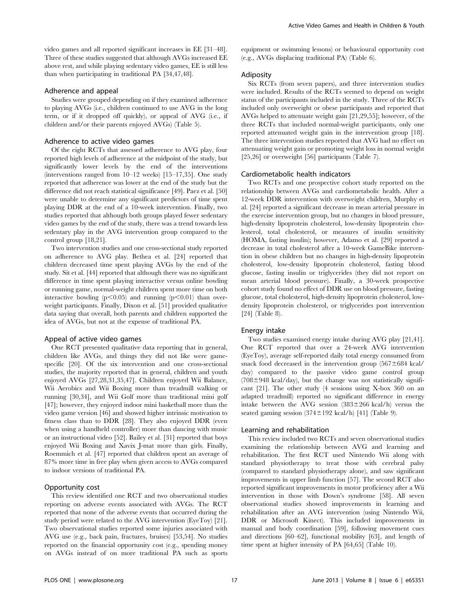video games and all reported significant increases in EE [31–48]. Three of these studies suggested that although AVGs increased EE above rest, and while playing sedentary video games, EE is still less than when participating in traditional PA [34,47,48].

# Adherence and appeal

Studies were grouped depending on if they examined adherence to playing AVGs (i.e., children continued to use AVG in the long term, or if it dropped off quickly), or appeal of AVG (i.e., if children and/or their parents enjoyed AVGs) (Table 5).

# Adherence to active video games

Of the eight RCTs that assessed adherence to AVG play, four reported high levels of adherence at the midpoint of the study, but significantly lower levels by the end of the interventions (interventions ranged from 10–12 weeks) [15–17,35]. One study reported that adherence was lower at the end of the study but the difference did not reach statistical significance [49]. Paez et al. [50] were unable to determine any significant predictors of time spent playing DDR at the end of a 10-week intervention. Finally, two studies reported that although both groups played fewer sedentary video games by the end of the study, there was a trend towards less sedentary play in the AVG intervention group compared to the control group [18,21].

Two intervention studies and one cross-sectional study reported on adherence to AVG play. Bethea et al. [24] reported that children decreased time spent playing AVGs by the end of the study. Sit et al. [44] reported that although there was no significant difference in time spent playing interactive versus online bowling or running game, normal-weight children spent more time on both interactive bowling ( $p<0.05$ ) and running ( $p<0.01$ ) than overweight participants. Finally, Dixon et al. [51] provided qualitative data saying that overall, both parents and children supported the idea of AVGs, but not at the expense of traditional PA.

#### Appeal of active video games

One RCT presented qualitative data reporting that in general, children like AVGs, and things they did not like were gamespecific [20]. Of the six intervention and one cross-sectional studies, the majority reported that in general, children and youth enjoyed AVGs [27,28,31,35,47]. Children enjoyed Wii Balance, Wii Aerobics and Wii Boxing more than treadmill walking or running [30,34], and Wii Golf more than traditional mini golf [47]; however, they enjoyed indoor mini basketball more than the video game version [46] and showed higher intrinsic motivation to fitness class than to DDR [28]. They also enjoyed DDR (even when using a handheld controller) more than dancing with music or an instructional video [52]. Bailey et al. [31] reported that boys enjoyed Wii Boxing and Xavix J-mat more than girls. Finally, Roemmich et al. [47] reported that children spent an average of 87% more time in free play when given access to AVGs compared to indoor versions of traditional PA.

## Opportunity cost

This review identified one RCT and two observational studies reporting on adverse events associated with AVGs. The RCT reported that none of the adverse events that occurred during the study period were related to the AVG intervention (EyeToy) [21]. Two observational studies reported some injuries associated with AVG use (e.g., back pain, fractures, bruises) [53,54]. No studies reported on the financial opportunity cost (e.g., spending money on AVGs instead of on more traditional PA such as sports equipment or swimming lessons) or behavioural opportunity cost (e.g., AVGs displacing traditional PA) (Table 6).

# Adiposity

Six RCTs (from seven papers), and three intervention studies were included. Results of the RCTs seemed to depend on weight status of the participants included in the study. Three of the RCTs included only overweight or obese participants and reported that AVGs helped to attenuate weight gain [21,29,55]; however, of the three RCTs that included normal-weight participants, only one reported attenuated weight gain in the intervention group [18]. The three intervention studies reported that AVG had no effect on attenuating weight gain or promoting weight loss in normal weight [25,26] or overweight [56] participants (Table 7).

#### Cardiometabolic health indicators

Two RCTs and one prospective cohort study reported on the relationship between AVGs and cardiometabolic health. After a 12-week DDR intervention with overweight children, Murphy et al. [24] reported a significant decrease in mean arterial pressure in the exercise intervention group, but no changes in blood pressure, high-density lipoprotein cholesterol, low-density lipoprotein cholesterol, total cholesterol, or measures of insulin sensitivity (HOMA, fasting insulin); however, Adamo et al. [29] reported a decrease in total cholesterol after a 10-week GameBike intervention in obese children but no changes in high-density lipoprotein cholesterol, low-density lipoprotein cholesterol, fasting blood glucose, fasting insulin or triglycerides (they did not report on mean arterial blood pressure). Finally, a 30-week prospective cohort study found no effect of DDR use on blood pressure, fasting glucose, total cholesterol, high-density lipoprotein cholesterol, lowdensity lipoprotein cholesterol, or triglycerides post intervention [24] (Table 8).

#### Energy intake

Two studies examined energy intake during AVG play [21,41]. One RCT reported that over a 24-week AVG intervention (EyeToy), average self-reported daily total energy consumed from snack food decreased in the intervention group  $(567 \pm 684 \text{ kcal})$ day) compared to the passive video game control group  $(708\pm948 \text{ kcal/day})$ , but the change was not statistically significant [21]. The other study (4 sessions using X-box 360 on an adapted treadmill) reported no significant difference in energy intake between the AVG session  $(383\pm266 \text{ kcal/h})$  versus the seated gaming session  $(374 \pm 192 \text{ kcal/h})$  [41] (Table 9).

## Learning and rehabilitation

This review included two RCTs and seven observational studies examining the relationship between AVG and learning and rehabilitation. The first RCT used Nintendo Wii along with standard physiotherapy to treat those with cerebral palsy (compared to standard physiotherapy alone), and saw significant improvements in upper limb function [57]. The second RCT also reported significant improvements in motor proficiency after a Wii intervention in those with Down's syndrome [58]. All seven observational studies showed improvements in learning and rehabilitation after an AVG intervention (using Nintendo Wii, DDR or Microsoft Kinect). This included improvements in manual and body coordination [59], following movement cues and directions [60–62], functional mobility [63], and length of time spent at higher intensity of PA [64,65] (Table 10).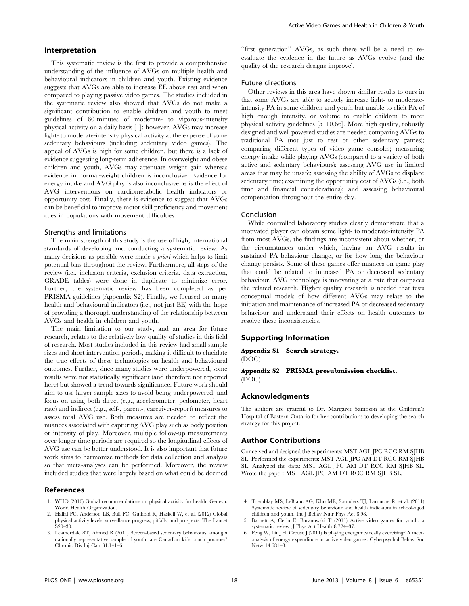# Interpretation

This systematic review is the first to provide a comprehensive understanding of the influence of AVGs on multiple health and behavioural indicators in children and youth. Existing evidence suggests that AVGs are able to increase EE above rest and when compared to playing passive video games. The studies included in the systematic review also showed that AVGs do not make a significant contribution to enable children and youth to meet guidelines of 60 minutes of moderate- to vigorous-intensity physical activity on a daily basis [1]; however, AVGs may increase light- to moderate-intensity physical activity at the expense of some sedentary behaviours (including sedentary video games). The appeal of AVGs is high for some children, but there is a lack of evidence suggesting long-term adherence. In overweight and obese children and youth, AVGs may attenuate weight gain whereas evidence in normal-weight children is inconclusive. Evidence for energy intake and AVG play is also inconclusive as is the effect of AVG interventions on cardiometabolic health indicators or opportunity cost. Finally, there is evidence to suggest that AVGs can be beneficial to improve motor skill proficiency and movement cues in populations with movement difficulties.

#### Strengths and limitations

The main strength of this study is the use of high, international standards of developing and conducting a systematic review. As many decisions as possible were made *a priori* which helps to limit potential bias throughout the review. Furthermore, all steps of the review (i.e., inclusion criteria, exclusion criteria, data extraction, GRADE tables) were done in duplicate to minimize error. Further, the systematic review has been completed as per PRISMA guidelines (Appendix S2). Finally, we focused on many health and behavioural indicators (i.e., not just EE) with the hope of providing a thorough understanding of the relationship between AVGs and health in children and youth.

The main limitation to our study, and an area for future research, relates to the relatively low quality of studies in this field of research. Most studies included in this review had small sample sizes and short intervention periods, making it difficult to elucidate the true effects of these technologies on health and behavioural outcomes. Further, since many studies were underpowered, some results were not statistically significant (and therefore not reported here) but showed a trend towards significance. Future work should aim to use larger sample sizes to avoid being underpowered, and focus on using both direct (e.g., accelerometer, pedometer, heart rate) and indirect (e.g., self-, parent-, caregiver-report) measures to assess total AVG use. Both measures are needed to reflect the nuances associated with capturing AVG play such as body position or intensity of play. Moreover, multiple follow-up measurements over longer time periods are required so the longitudinal effects of AVG use can be better understood. It is also important that future work aims to harmonize methods for data collection and analysis so that meta-analyses can be performed. Moreover, the review included studies that were largely based on what could be deemed

## References

- 1. WHO (2010) Global recommendations on physical activity for health. Geneva: World Health Organization.
- 2. Hallal PC, Anderson LB, Bull FC, Guthold R, Haskell W, et al. (2012) Global physical activity levels: surveillance progress, pitfalls, and prospects. The Lancet S20–30.
- 3. Leatherdale ST, Ahmed R (2011) Screen-based sedentary behaviours among a nationally representative sample of youth: are Canadian kids couch potatoes? Chronic Dis Inj Can 31:141–6.

"first generation" AVGs, as such there will be a need to reevaluate the evidence in the future as AVGs evolve (and the quality of the research designs improve).

### Future directions

Other reviews in this area have shown similar results to ours in that some AVGs are able to acutely increase light- to moderateintensity PA in some children and youth but unable to elicit PA of high enough intensity, or volume to enable children to meet physical activity guidelines [5–10,66]. More high quality, robustly designed and well powered studies are needed comparing AVGs to traditional PA (not just to rest or other sedentary games); comparing different types of video game consoles; measuring energy intake while playing AVGs (compared to a variety of both active and sedentary behaviours); assessing AVG use in limited areas that may be unsafe; assessing the ability of AVGs to displace sedentary time; examining the opportunity cost of AVGs (i.e., both time and financial considerations); and assessing behavioural compensation throughout the entire day.

#### Conclusion

While controlled laboratory studies clearly demonstrate that a motivated player can obtain some light- to moderate-intensity PA from most AVGs, the findings are inconsistent about whether, or the circumstances under which, having an AVG results in sustained PA behaviour change, or for how long the behaviour change persists. Some of these games offer nuances on game play that could be related to increased PA or decreased sedentary behaviour. AVG technology is innovating at a rate that outpaces the related research. Higher quality research is needed that tests conceptual models of how different AVGs may relate to the initiation and maintenance of increased PA or decreased sedentary behaviour and understand their effects on health outcomes to resolve these inconsistencies.

#### Supporting Information

Appendix S1 Search strategy. (DOC)

Appendix S2 PRISMA presubmission checklist. (DOC)

#### Acknowledgments

The authors are grateful to Dr. Margaret Sampson at the Children's Hospital of Eastern Ontario for her contributions to developing the search strategy for this project.

# Author Contributions

Conceived and designed the experiments: MST AGL JPC RCC RM SJHB SL. Performed the experiments: MST AGL JPC AM DT RCC RM SJHB SL. Analyzed the data: MST AGL JPC AM DT RCC RM SJHB SL. Wrote the paper: MST AGL JPC AM DT RCC RM SJHB SL.

- 4. Tremblay MS, LeBlanc AG, Kho ME, Saunders TJ, Larouche R, et al. (2011) Systematic review of sedentary behaviour and health indicators in school-aged children and youth. Int J Behav Nutr Phys Act 8:98.
- 5. Barnett A, Cerin E, Baranowski T (2011) Active video games for youth: a systematic review. J Phys Act Health 8:724–37.
- 6. Peng W, Lin JH, Crouse J (2011) Is playing exergames really exercising? A metaanalysis of energy expenditure in active video games. Cyberpsychol Behav Soc Netw 14:681–8.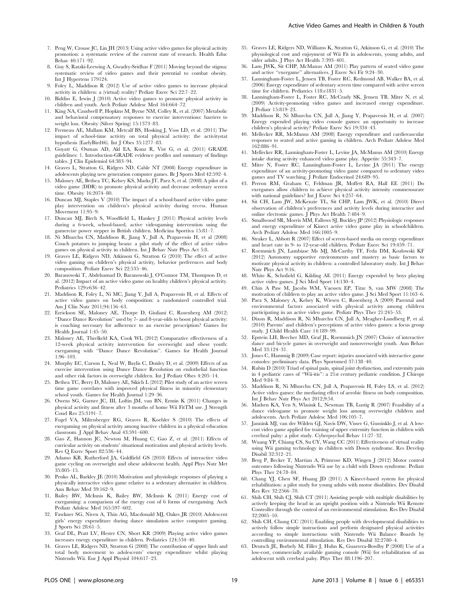- 7. Peng W, Crouse JC, Lin JH (2013) Using active video games for physical activity promotion: a systematic review of the current state of research. Health Educ Behav 40:171–92.
- 8. Guy S, Ratzki-Leewing A, Gwadry-Sridhar F (2011) Moving beyond the stigma: systematic review of video games and their potential to combat obesity. Int J Hypertens 179124.
- 9. Foley L, Maddison R (2012) Use of active video games to increase physical activity in children: a (virtual) reality? Pediatr Exerc Sci 22:7–22.
- 10. Biddiss E, Irwin J (2010) Active video games to promote physical activity in children and youth. Arch Pediatr Adolesc Med 164:664–72.
- 11. King NA, Caudwell P, Hopkins M, Byrne NM, Colley R, et al. (2007) Metabolic and behavioral compensatory responses to exercise interventions: barriers to weight loss. Obesity (Silver Spring) 15:1373–83.
- 12. Fremeau AE, Mallam KM, Metcalf BS, Hosking J, Voss LD, et al. (2011) The impact of school-time activity on total physical activity: the activitystat hypothesis (EarlyBird46). Int J Obes 35:1277–83.
- 13. Guyatt G, Oxman AD, Akl EA, Kunz R, Vist G, et al. (2011) GRADE guidelines: 1. Introduction-GRADE evidence profiles and summary of findings tables. J Clin Epidemiol 64:383–94.
- 14. Graves L, Stratton G, Ridgers ND, Cable NT (2008) Energy expenditure in adolescents playing new generation computer games. Br J Sports Med 42:592–4.
- 15. Maloney AE, Bethea TC, Kelsey KS, Marks JT, Paez S, et al. (2008) A pilot of a video game (DDR) to promote physical activity and decrease sedentary screen time. Obesity 16:2074–80.
- 16. Duncan MJ, Staples V (2010) The impact of a school-based active video game play intervention on children's physical activity during recess. Human Movement 11:95–9.
- 17. Duncan MJ, Birch S, Woodfield L, Hankey J (2011) Physical activity levels during a 6-week, school-based, active videogaming intervention using the gamercize power stepper in British children. Medicina Sportiva 15:81–7.
- 18. Ni Mhurchu CN, Maddison R, Jiang Y, Jull A, Prapavessis H, et al (2008) Couch potatoes to jumping beans: a pilot study of the effect of active video games on physical activity in children. Int J Behav Nutr Phys Act 5:8.
- 19. Graves LE, Ridgers ND, Atkinson G, Stratton G (2010) The effect of active video gaming on children's physical activity, behavior preferences and body composition. Pediatr Exerc Sci 22:535–46.
- 20. Baranowski T, Abdelsamad D, Baranowski J, O'Connor TM, Thompson D, et al. (2012) Impact of an active video game on healthy children's physical activity. Pediatrics 129:e636–42.
- 21. Maddison R, Foley L, Ni MC, Jiang Y, Jull A, Prapavessis H, et al. Effects of active video games on body composition: a randomized controlled trial. Am J Clin Nutr 2011;94:156–63.
- 22. Errickson SE, Maloney AE, Thorpe D, Giuliani C, Rosenberg AM (2012) ''Dance Dance Revolution'' used by 7- and 8-year-olds to boost physical activity: is coaching necessary for adherence to an exercise prescription? Games for Health Journal 1:45–50.
- 23. Maloney AE, Threlkeld KA, Cook WL (2012) Comparative effectiveness of a 12-week physical activity intervention for overweight and obese youth: exergaming with ''Dance Dance Revolution''. Games for Health Journal 1:96–103.
- 24. Murphy EC, Carson L, Neal W, Baylis C, Donley D, et al. (2009) Effects of an exercise intervention using Dance Dance Revolution on endothelial function and other risk factors in overweight children. Int J Pediatr Obes 4:205–14.
- 25. Bethea TC, Berry D, Maloney AE, Sikich L (2012) Pilot study of an active screen time game correlates with improved physical fitness in minority elementary school youth. Games for Health Journal 1:29–36.
- 26. Owens SG, Garner JC, III, Loftin JM, van BN, Ermin K (2011) Changes in physical activity and fitness after 3 months of home Wii FitTM use. J Strength Cond Res 25:3191–7.
- 27. Fogel VA, Miltenberger RG, Graves R, Koehler S (2010) The effects of exergaming on physical activity among inactive children in a physical education classroom. J Appl Behav Anal 43:591–600.
- 28. Gao Z, Hannon JC, Newton M, Huang C, Gao Z, et al. (2011) Effects of curricular activity on students' situational motivation and physical activity levels. Res Q Exerc Sport 82:536–44.
- 29. Adamo KB, Rutherford JA, Goldfield GS (2010) Effects of interactive video game cycling on overweight and obese adolescent health. Appl Phys Nutr Met 35:805–15.
- 30. Penko AL, Barkley JE (2010) Motivation and physiologic responses of playing a physically interactive video game relative to a sedentary alternative in children. Ann Behav Med 39:162–9.
- 31. Bailey BW, McInnis K, Bailey BW, McInnis K (2011) Energy cost of exergaming: a comparison of the energy cost of 6 forms of exergaming. Arch Pediatr Adolesc Med 165:597–602.
- 32. Fawkner SG, Niven A, Thin AG, Macdonald MJ, Oakes JR (2010) Adolescent girls' energy expenditure during dance simulation active computer gaming. J Sports Sci 28:61–5.
- 33. Graf DL, Pratt LV, Hester CN, Short KR (2009) Playing active video games increases energy expenditure in children. Pediatrics 124:534–40.
- 34. Graves LE, Ridgers ND, Stratton G (2008) The contribution of upper limb and total body movement to adolescents' energy expenditure whilst playing Nintendo Wii. Eur J Appl Physiol 104:617–23.
- 35. Graves LE, Ridgers ND, Williams K, Stratton G, Atkinson G, et al. (2010) The physiological cost and enjoyment of Wii Fit in adolescents, young adults, and older adults. J Phys Act Health 7:393–401.
- 36. Lam JWK, Sit CHP, McManus AM (2011) Play pattern of seated video game and active ''exergame'' alternatives. J Exerc Sci Fit 9:24–30.
- 37. Lanningham-Foster L, Jensen TB, Foster RC, Redmond AB, Walker BA, et al. (2006) Energy expenditure of sedentary screen time compared with active screen time for children. Pediatrics 118:e1831–5.
- 38. Lanningham-Foster L, Foster RC, McCrady SK, Jensen TB, Mitre N, et al. (2009) Activity-promoting video games and increased energy expenditure. Pediatr 15:819-23.
- 39. Maddison R, Ni Mhurchu CN, Jull A, Jiang Y, Prapavessis H, et al. (2007) Energy expended playing video console games: an opportunity to increase children's physical activity? Pediatr Exerc Sci 19:334–43.
- 40. Mellecker RR, McManus AM (2008) Energy expenditure and cardiovascular responses to seated and active gaming in children. Arch Pediatr Adolesc Med 162:886–91.
- 41. Mellecker RR, Lanningham-Foster L, Levine JA, McManus AM (2010) Energy intake during activity enhanced video game play. Appetite 55:343–7.
- 42. Mitre N, Foster RC, Lanningham-Foster L, Levine JA (2011) The energy expenditure of an activity-promoting video game compared to sedentary video ames and TV watching. J Pediatr Endocrinol 24:689-95.
- 43. Perron RM, Graham C, Feldman JR, Moffett RA, Hall EE (2011) Do exergames allow children to achieve physical activity intensity commensurate with national guidelines? Int J Exerc Sci 4:257–64.
- 44. Sit CH, Lam JW, McKenzie TL, Sit CHP, Lam JWK, et al. (2010) Direct observation of children's preferences and activity levels during interactive and online electronic games. J Phys Act Health 7:484–9.
- 45. Smallwood SR, Morris MM, Fallows SJ, Buckley JP (2012) Physiologic responses and energy expenditure of Kinect active video game play in schoolchildren. Arch Pediatr Adolesc Med 166:1005–9.
- 46. Straker L, Abbott R (2007) Effect of screen-based media on energy expenditure and heart rate in 9- to 12-year-old children. Pediatr Exerc Sci 19:459–71.
- 47. Roemmich JN, Lambiase Ms MJ, McCarthy TF, Feda DM, Kozlowski KF (2012) Autonomy supportive environments and mastery as basic factors to motivate physical activity in children: a controlled laboratory study. Int J Behav Nutr Phys Act 9:16.
- 48. White K, Schofield G, Kilding AE (2011) Energy expended by boys playing active video games. J Sci Med Sport 14:130–4.
- 49. Chin A Paw M, Jacobs WM, Vaessen EP, Titze S, van MW (2008) The motivation of children to play an active video game. J Sci Med Sport 11:163–6.
- 50. Paez S, Maloney A, Kelsey K, Wiesen C, Rosenberg A (2009) Parental and environmental factors associated with physical activity among children participating in an active video game. Pediatr Phys Ther 21:245–53.
- 51. Dixon R, Maddison R, Ni Mhurchu CN, Jull A, Meagher-Lundberg P, et al. (2010) Parents' and children's perceptions of active video games: a focus group study. J Child Health Care 14:189–99.
- 52. Epstein LH, Beecher MD, Graf JL, Roemmich JN (2007) Choice of interactive dance and bicycle games in overweight and nonoverweight youth. Ann Behav Med 33:124–31.
- 53. Jones C, Hammig B (2009) Case report: injuries associated with interactive game consoles: preliminary data. Phys Sportsmed 37:138–40.
- 54. Rubin D (2010) Triad of spinal pain, spinal joint dysfunction, and extremity pain in 4 pediatric cases of ''Wii-itis'': a 21st century pediatric condition. J Chiropr Med 9:84–9.
- 55. Maddison R, Ni Mhurchu CN, Jull A, Prapavessis H, Foley LS, et al. (2012) Active video games: the mediating effect of aerobic fitness on body composition. Int J Behav Nutr Phys Act 2012;9:54.
- 56. Madsen KA, Yen S, Wlasiuk L, Newman TB, Lustig R (2007) Feasibility of a dance videogame to promote weight loss among overweight children and adolescents. Arch Pediatr Adolesc Med 106:105–7.
- 57. Jannink MJ, van der Wilden GJ, Navis DW, Visser G, Gussinklo J, et al. A lowcost video game applied for training of upper extremity function in children with cerebral palsy: a pilot study. Cyberpsychol Behav 11:27–32.
- 58. Wuang YP, Chiang CS, Su CY, Wang CC (2011) Effectiveness of virtual reality using Wii gaming technology in children with Down syndrome. Res Develop Disabil 32:312–21.
- 59. Berg P, Becker T, Martian A, Primrose KD, Wingen J (2012) Motor control outcomes following Nintendo Wii use by a child with Down syndrome. Pediatr Phys Ther 24:78–84.
- 60. Chang YJ, Chen SF, Huang JD (2011) A Kinect-based system for physical rehabilitation: a pilot study for young adults with motor disabilities. Dev Disabil Res Rev 32:2566–70.
- 61. Shih CH, Shih CJ, Shih CT (2011) Assisting people with multiple disabilities by actively keeping the head in an upright position with a Nintendo Wii Remote Controller through the control of an environmental stimulation. Res Dev Disabil 32:2005–10.
- 62. Shih CH, Chung CC (2011) Enabling people with developmental disabilities to actively follow simple instructions and perform designated physical activities according to simple instructions with Nintendo Wii Balance Boards by controlling environmental stimulation. Res Dev Disabil 32:2780–4.
- 63. Deutsch JE, Borbely M, Filler J, Huhn K, Guarrera-Bowlby P (2008) Use of a low-cost, commercially available gaming console (Wii) for rehabilitation of an adolescent with cerebral palsy. Phys Ther 88:1196–207.